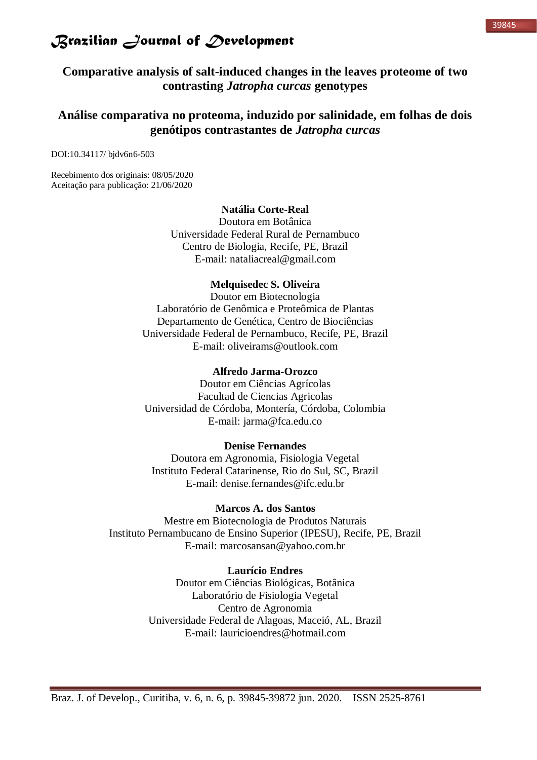#### 39845

## *Brazilian Journal of Development*

**Comparative analysis of salt-induced changes in the leaves proteome of two contrasting** *Jatropha curcas* **genotypes**

## **Análise comparativa no proteoma, induzido por salinidade, em folhas de dois genótipos contrastantes de** *Jatropha curcas*

DOI:10.34117/ bjdv6n6-503

Recebimento dos originais: 08/05/2020 Aceitação para publicação: 21/06/2020

### **Natália Corte-Real**

Doutora em Botânica Universidade Federal Rural de Pernambuco Centro de Biologia, Recife, PE, Brazil E-mail: nataliacreal@gmail.com

### **Melquisedec S. Oliveira**

Doutor em Biotecnologia Laboratório de Genômica e Proteômica de Plantas Departamento de Genética, Centro de Biociências Universidade Federal de Pernambuco, Recife, PE, Brazil E-mail: oliveirams@outlook.com

### **Alfredo Jarma-Orozco**

Doutor em Ciências Agrícolas Facultad de Ciencias Agricolas Universidad de Córdoba, Montería, Córdoba, Colombia E-mail: jarma@fca.edu.co

### **Denise Fernandes**

Doutora em Agronomia, Fisiologia Vegetal Instituto Federal Catarinense, Rio do Sul, SC, Brazil E-mail: denise.fernandes@ifc.edu.br

### **Marcos A. dos Santos**

Mestre em Biotecnologia de Produtos Naturais Instituto Pernambucano de Ensino Superior (IPESU), Recife, PE, Brazil E-mail: marcosansan@yahoo.com.br

### **Laurício Endres**

Doutor em Ciências Biológicas, Botânica Laboratório de Fisiologia Vegetal Centro de Agronomia Universidade Federal de Alagoas, Maceió, AL, Brazil E-mail: lauricioendres@hotmail.com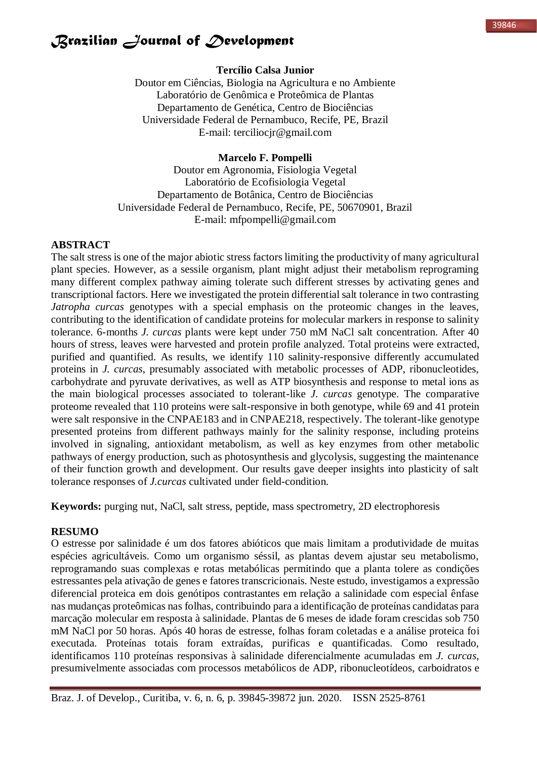## **Tercílio Calsa Junior**

Doutor em Ciências, Biologia na Agricultura e no Ambiente Laboratório de Genômica e Proteômica de Plantas Departamento de Genética, Centro de Biociências Universidade Federal de Pernambuco, Recife, PE, Brazil E-mail: terciliocjr@gmail.com

## **Marcelo F. Pompelli**

Doutor em Agronomia, Fisiologia Vegetal Laboratório de Ecofisiologia Vegetal Departamento de Botânica, Centro de Biociências Universidade Federal de Pernambuco, Recife, PE, 50670901, Brazil E-mail: mfpompelli@gmail.com

### **ABSTRACT**

The salt stress is one of the major abiotic stress factors limiting the productivity of many agricultural plant species. However, as a sessile organism, plant might adjust their metabolism reprograming many different complex pathway aiming tolerate such different stresses by activating genes and transcriptional factors. Here we investigated the protein differential salt tolerance in two contrasting *Jatropha curcas* genotypes with a special emphasis on the proteomic changes in the leaves, contributing to the identification of candidate proteins for molecular markers in response to salinity tolerance. 6-months *J. curcas* plants were kept under 750 mM NaCl salt concentration. After 40 hours of stress, leaves were harvested and protein profile analyzed. Total proteins were extracted, purified and quantified. As results, we identify 110 salinity-responsive differently accumulated proteins in *J. curcas*, presumably associated with metabolic processes of ADP, ribonucleotides, carbohydrate and pyruvate derivatives, as well as ATP biosynthesis and response to metal ions as the main biological processes associated to tolerant-like *J. curcas* genotype. The comparative proteome revealed that 110 proteins were salt-responsive in both genotype, while 69 and 41 protein were salt responsive in the CNPAE183 and in CNPAE218, respectively. The tolerant-like genotype presented proteins from different pathways mainly for the salinity response, including proteins involved in signaling, antioxidant metabolism, as well as key enzymes from other metabolic pathways of energy production, such as photosynthesis and glycolysis, suggesting the maintenance of their function growth and development. Our results gave deeper insights into plasticity of salt tolerance responses of *J.curcas* cultivated under field-condition.

**Keywords:** purging nut, NaCl, salt stress, peptide, mass spectrometry, 2D electrophoresis

### **RESUMO**

O estresse por salinidade é um dos fatores abióticos que mais limitam a produtividade de muitas espécies agricultáveis. Como um organismo séssil, as plantas devem ajustar seu metabolismo, reprogramando suas complexas e rotas metabólicas permitindo que a planta tolere as condições estressantes pela ativação de genes e fatores transcricionais. Neste estudo, investigamos a expressão diferencial proteica em dois genótipos contrastantes em relação a salinidade com especial ênfase nas mudanças proteômicas nas folhas, contribuindo para a identificação de proteínas candidatas para marcação molecular em resposta à salinidade. Plantas de 6 meses de idade foram crescidas sob 750 mM NaCl por 50 horas. Após 40 horas de estresse, folhas foram coletadas e a análise proteica foi executada. Proteínas totais foram extraídas, purificas e quantificadas. Como resultado, identificamos 110 proteínas responsivas à salinidade diferencialmente acumuladas em *J. curcas*, presumivelmente associadas com processos metabólicos de ADP, ribonucleotídeos, carboidratos e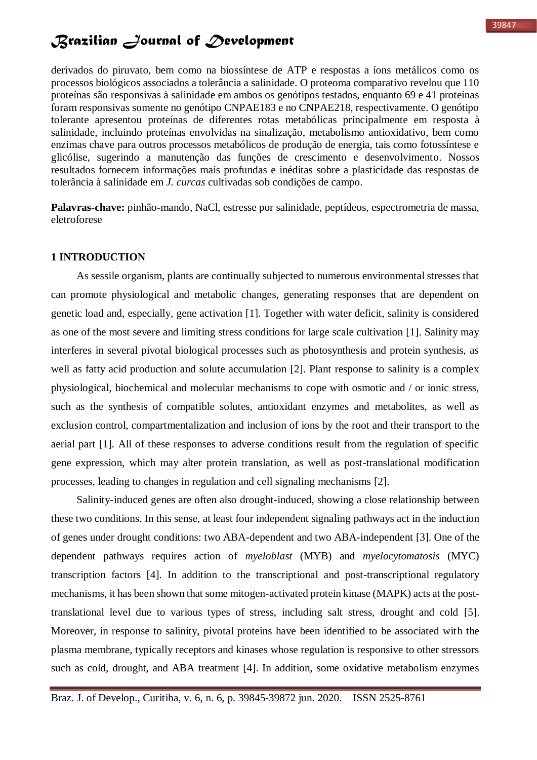derivados do piruvato, bem como na biossíntese de ATP e respostas a íons metálicos como os processos biológicos associados a tolerância a salinidade. O proteoma comparativo revelou que 110 proteínas são responsivas à salinidade em ambos os genótipos testados, enquanto 69 e 41 proteínas foram responsivas somente no genótipo CNPAE183 e no CNPAE218, respectivamente. O genótipo tolerante apresentou proteínas de diferentes rotas metabólicas principalmente em resposta à salinidade, incluindo proteínas envolvidas na sinalização, metabolismo antioxidativo, bem como enzimas chave para outros processos metabólicos de produção de energia, tais como fotossíntese e glicólise, sugerindo a manutenção das funções de crescimento e desenvolvimento. Nossos resultados fornecem informações mais profundas e inéditas sobre a plasticidade das respostas de tolerância à salinidade em *J. curcas* cultivadas sob condições de campo.

**Palavras-chave:** pinhão-mando, NaCl, estresse por salinidade, peptídeos, espectrometria de massa, eletroforese

### **1 INTRODUCTION**

As sessile organism, plants are continually subjected to numerous environmental stresses that can promote physiological and metabolic changes, generating responses that are dependent on genetic load and, especially, gene activation [1]. Together with water deficit, salinity is considered as one of the most severe and limiting stress conditions for large scale cultivation [1]. Salinity may interferes in several pivotal biological processes such as photosynthesis and protein synthesis, as well as fatty acid production and solute accumulation [2]. Plant response to salinity is a complex physiological, biochemical and molecular mechanisms to cope with osmotic and / or ionic stress, such as the synthesis of compatible solutes, antioxidant enzymes and metabolites, as well as exclusion control, compartmentalization and inclusion of ions by the root and their transport to the aerial part [1]. All of these responses to adverse conditions result from the regulation of specific gene expression, which may alter protein translation, as well as post-translational modification processes, leading to changes in regulation and cell signaling mechanisms [2].

Salinity-induced genes are often also drought-induced, showing a close relationship between these two conditions. In this sense, at least four independent signaling pathways act in the induction of genes under drought conditions: two ABA-dependent and two ABA-independent [3]. One of the dependent pathways requires action of *myeloblast* (MYB) and *myelocytomatosis* (MYC) transcription factors [4]. In addition to the transcriptional and post-transcriptional regulatory mechanisms, it has been shown that some mitogen-activated protein kinase (MAPK) acts at the posttranslational level due to various types of stress, including salt stress, drought and cold [5]. Moreover, in response to salinity, pivotal proteins have been identified to be associated with the plasma membrane, typically receptors and kinases whose regulation is responsive to other stressors such as cold, drought, and ABA treatment [4]. In addition, some oxidative metabolism enzymes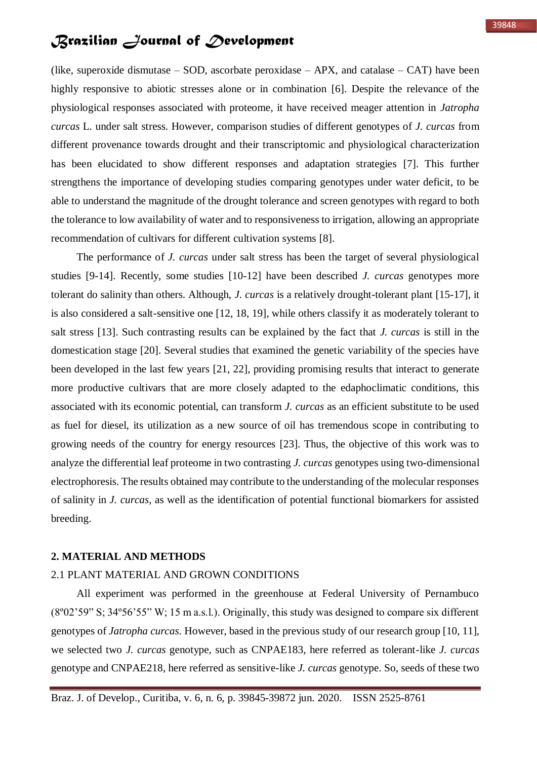(like, superoxide dismutase – SOD, ascorbate peroxidase – APX, and catalase – CAT) have been highly responsive to abiotic stresses alone or in combination [6]. Despite the relevance of the physiological responses associated with proteome, it have received meager attention in *Jatropha curcas* L. under salt stress. However, comparison studies of different genotypes of *J. curcas* from different provenance towards drought and their transcriptomic and physiological characterization has been elucidated to show different responses and adaptation strategies [7]. This further strengthens the importance of developing studies comparing genotypes under water deficit, to be able to understand the magnitude of the drought tolerance and screen genotypes with regard to both the tolerance to low availability of water and to responsiveness to irrigation, allowing an appropriate recommendation of cultivars for different cultivation systems [8].

The performance of *J. curcas* under salt stress has been the target of several physiological studies [9-14]. Recently, some studies [10-12] have been described *J. curcas* genotypes more tolerant do salinity than others. Although, *J. curcas* is a relatively drought-tolerant plant [15-17], it is also considered a salt-sensitive one [12, 18, 19], while others classify it as moderately tolerant to salt stress [13]. Such contrasting results can be explained by the fact that *J. curcas* is still in the domestication stage [20]. Several studies that examined the genetic variability of the species have been developed in the last few years [21, 22], providing promising results that interact to generate more productive cultivars that are more closely adapted to the edaphoclimatic conditions, this associated with its economic potential, can transform *J. curcas* as an efficient substitute to be used as fuel for diesel, its utilization as a new source of oil has tremendous scope in contributing to growing needs of the country for energy resources [23]. Thus, the objective of this work was to analyze the differential leaf proteome in two contrasting *J. curcas* genotypes using two-dimensional electrophoresis. The results obtained may contribute to the understanding of the molecular responses of salinity in *J. curcas*, as well as the identification of potential functional biomarkers for assisted breeding.

### **2. MATERIAL AND METHODS**

### 2.1 PLANT MATERIAL AND GROWN CONDITIONS

All experiment was performed in the greenhouse at Federal University of Pernambuco (8º02'59" S; 34º56'55" W; 15 m a.s.l.). Originally, this study was designed to compare six different genotypes of *Jatropha curcas*. However, based in the previous study of our research group [10, 11], we selected two *J. curcas* genotype, such as CNPAE183, here referred as tolerant-like *J. curcas* genotype and CNPAE218, here referred as sensitive-like *J. curcas* genotype. So, seeds of these two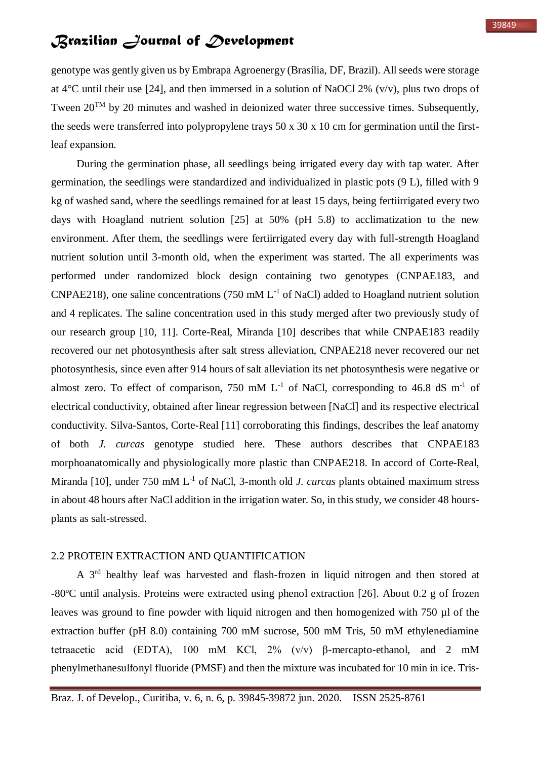genotype was gently given us by Embrapa Agroenergy (Brasília, DF, Brazil). All seeds were storage at  $4^{\circ}$ C until their use [24], and then immersed in a solution of NaOCl 2% (v/v), plus two drops of Tween  $20^{TM}$  by 20 minutes and washed in deionized water three successive times. Subsequently, the seeds were transferred into polypropylene trays 50 x 30 x 10 cm for germination until the firstleaf expansion.

During the germination phase, all seedlings being irrigated every day with tap water. After germination, the seedlings were standardized and individualized in plastic pots (9 L), filled with 9 kg of washed sand, where the seedlings remained for at least 15 days, being fertiirrigated every two days with Hoagland nutrient solution [25] at 50% (pH 5.8) to acclimatization to the new environment. After them, the seedlings were fertiirrigated every day with full-strength Hoagland nutrient solution until 3-month old, when the experiment was started. The all experiments was performed under randomized block design containing two genotypes (CNPAE183, and CNPAE218), one saline concentrations (750 mM  $L^{-1}$  of NaCl) added to Hoagland nutrient solution and 4 replicates. The saline concentration used in this study merged after two previously study of our research group [10, 11]. Corte-Real, Miranda [10] describes that while CNPAE183 readily recovered our net photosynthesis after salt stress alleviation, CNPAE218 never recovered our net photosynthesis, since even after 914 hours of salt alleviation its net photosynthesis were negative or almost zero. To effect of comparison, 750 mM  $L^{-1}$  of NaCl, corresponding to 46.8 dS m<sup>-1</sup> of electrical conductivity, obtained after linear regression between [NaCl] and its respective electrical conductivity. Silva-Santos, Corte-Real [11] corroborating this findings, describes the leaf anatomy of both *J. curcas* genotype studied here. These authors describes that CNPAE183 morphoanatomically and physiologically more plastic than CNPAE218. In accord of Corte-Real, Miranda [10], under 750 mM L<sup>-1</sup> of NaCl, 3-month old *J. curcas* plants obtained maximum stress in about 48 hours after NaCl addition in the irrigation water. So, in this study, we consider 48 hoursplants as salt-stressed.

### 2.2 PROTEIN EXTRACTION AND QUANTIFICATION

A 3rd healthy leaf was harvested and flash-frozen in liquid nitrogen and then stored at -80ºC until analysis. Proteins were extracted using phenol extraction [26]. About 0.2 g of frozen leaves was ground to fine powder with liquid nitrogen and then homogenized with 750 µl of the extraction buffer (pH 8.0) containing 700 mM sucrose, 500 mM Tris, 50 mM ethylenediamine tetraacetic acid (EDTA), 100 mM KCl, 2% (v/v) β-mercapto-ethanol, and 2 mM phenylmethanesulfonyl fluoride (PMSF) and then the mixture was incubated for 10 min in ice. Tris-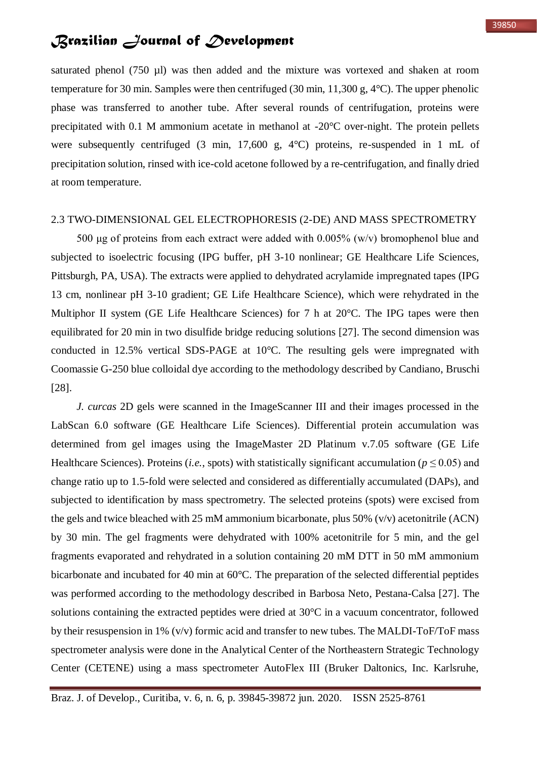saturated phenol (750 µl) was then added and the mixture was vortexed and shaken at room temperature for 30 min. Samples were then centrifuged (30 min, 11,300 g, 4°C). The upper phenolic phase was transferred to another tube. After several rounds of centrifugation, proteins were precipitated with 0.1 M ammonium acetate in methanol at -20°C over-night. The protein pellets were subsequently centrifuged (3 min, 17,600 g, 4°C) proteins, re-suspended in 1 mL of precipitation solution, rinsed with ice-cold acetone followed by a re-centrifugation, and finally dried at room temperature.

#### 2.3 TWO-DIMENSIONAL GEL ELECTROPHORESIS (2-DE) AND MASS SPECTROMETRY

500 μg of proteins from each extract were added with  $0.005\%$  (w/v) bromophenol blue and subjected to isoelectric focusing (IPG buffer, pH 3-10 nonlinear; GE Healthcare Life Sciences, Pittsburgh, PA, USA). The extracts were applied to dehydrated acrylamide impregnated tapes (IPG 13 cm, nonlinear pH 3-10 gradient; GE Life Healthcare Science), which were rehydrated in the Multiphor II system (GE Life Healthcare Sciences) for 7 h at 20<sup>o</sup>C. The IPG tapes were then equilibrated for 20 min in two disulfide bridge reducing solutions [27]. The second dimension was conducted in 12.5% vertical SDS-PAGE at 10°C. The resulting gels were impregnated with Coomassie G-250 blue colloidal dye according to the methodology described by Candiano, Bruschi [28].

*J. curcas* 2D gels were scanned in the ImageScanner III and their images processed in the LabScan 6.0 software (GE Healthcare Life Sciences). Differential protein accumulation was determined from gel images using the ImageMaster 2D Platinum v.7.05 software (GE Life Healthcare Sciences). Proteins (*i.e.*, spots) with statistically significant accumulation (*p* ≤ 0.05) and change ratio up to 1.5-fold were selected and considered as differentially accumulated (DAPs), and subjected to identification by mass spectrometry. The selected proteins (spots) were excised from the gels and twice bleached with 25 mM ammonium bicarbonate, plus 50% (v/v) acetonitrile (ACN) by 30 min. The gel fragments were dehydrated with 100% acetonitrile for 5 min, and the gel fragments evaporated and rehydrated in a solution containing 20 mM DTT in 50 mM ammonium bicarbonate and incubated for 40 min at 60°C. The preparation of the selected differential peptides was performed according to the methodology described in Barbosa Neto, Pestana-Calsa [27]. The solutions containing the extracted peptides were dried at 30°C in a vacuum concentrator, followed by their resuspension in 1% (v/v) formic acid and transfer to new tubes. The MALDI-ToF/ToF mass spectrometer analysis were done in the Analytical Center of the Northeastern Strategic Technology Center (CETENE) using a mass spectrometer AutoFlex III (Bruker Daltonics, Inc. Karlsruhe,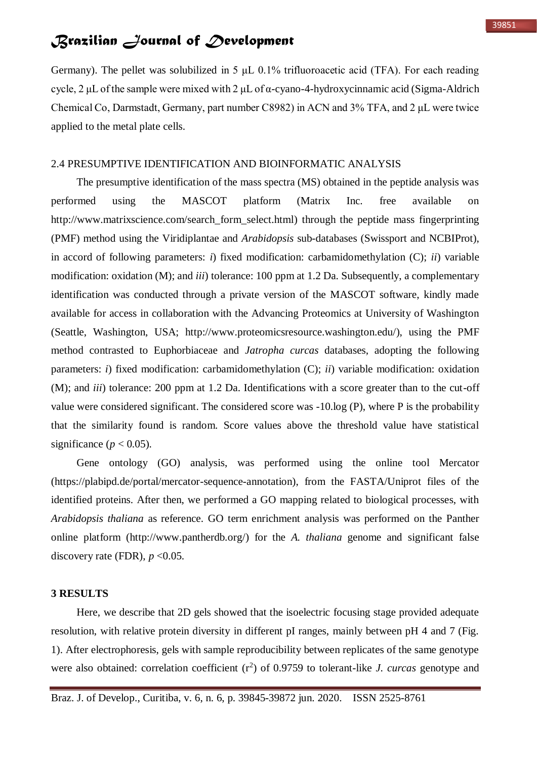Germany). The pellet was solubilized in 5 μL 0.1% trifluoroacetic acid (TFA). For each reading cycle, 2 μL of the sample were mixed with 2 μL of  $\alpha$ -cyano-4-hydroxycinnamic acid (Sigma-Aldrich Chemical Co, Darmstadt, Germany, part number C8982) in ACN and 3% TFA, and 2 μL were twice applied to the metal plate cells.

### 2.4 PRESUMPTIVE IDENTIFICATION AND BIOINFORMATIC ANALYSIS

The presumptive identification of the mass spectra (MS) obtained in the peptide analysis was performed using the MASCOT platform (Matrix Inc. free available on http://www.matrixscience.com/search\_form\_select.html) through the peptide mass fingerprinting (PMF) method using the Viridiplantae and *Arabidopsis* sub-databases (Swissport and NCBIProt), in accord of following parameters: *i*) fixed modification: carbamidomethylation (C); *ii*) variable modification: oxidation (M); and *iii*) tolerance: 100 ppm at 1.2 Da. Subsequently, a complementary identification was conducted through a private version of the MASCOT software, kindly made available for access in collaboration with the Advancing Proteomics at University of Washington (Seattle, Washington, USA; http://www.proteomicsresource.washington.edu/), using the PMF method contrasted to Euphorbiaceae and *Jatropha curcas* databases, adopting the following parameters: *i*) fixed modification: carbamidomethylation (C); *ii*) variable modification: oxidation (M); and *iii*) tolerance: 200 ppm at 1.2 Da. Identifications with a score greater than to the cut-off value were considered significant. The considered score was -10.log (P), where P is the probability that the similarity found is random. Score values above the threshold value have statistical significance ( $p < 0.05$ ).

Gene ontology (GO) analysis, was performed using the online tool Mercator (https://plabipd.de/portal/mercator-sequence-annotation), from the FASTA/Uniprot files of the identified proteins. After then, we performed a GO mapping related to biological processes, with *Arabidopsis thaliana* as reference. GO term enrichment analysis was performed on the Panther online platform (http://www.pantherdb.org/) for the *A. thaliana* genome and significant false discovery rate (FDR),  $p < 0.05$ .

### **3 RESULTS**

Here, we describe that 2D gels showed that the isoelectric focusing stage provided adequate resolution, with relative protein diversity in different pI ranges, mainly between pH 4 and 7 (Fig. 1). After electrophoresis, gels with sample reproducibility between replicates of the same genotype were also obtained: correlation coefficient  $(r^2)$  of 0.9759 to tolerant-like *J. curcas* genotype and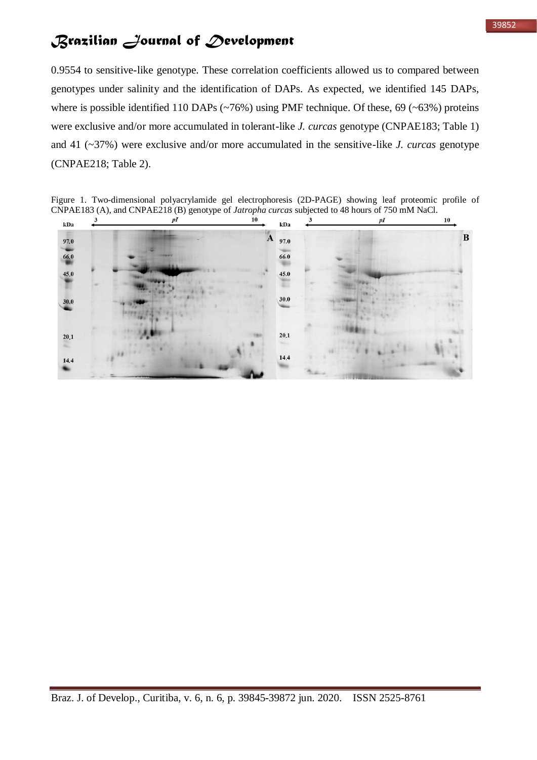#### 39852

# *Brazilian Journal of Development*

0.9554 to sensitive-like genotype. These correlation coefficients allowed us to compared between genotypes under salinity and the identification of DAPs. As expected, we identified 145 DAPs, where is possible identified 110 DAPs ( $\sim$ 76%) using PMF technique. Of these, 69 ( $\sim$ 63%) proteins were exclusive and/or more accumulated in tolerant-like *J. curcas* genotype (CNPAE183; Table 1) and 41 (~37%) were exclusive and/or more accumulated in the sensitive-like *J. curcas* genotype (CNPAE218; Table 2).

Figure 1. Two-dimensional polyacrylamide gel electrophoresis (2D-PAGE) showing leaf proteomic profile of CNPAE183 (A), and CNPAE218 (B) genotype of *Jatropha curcas* subjected to 48 hours of 750 mM NaCl.

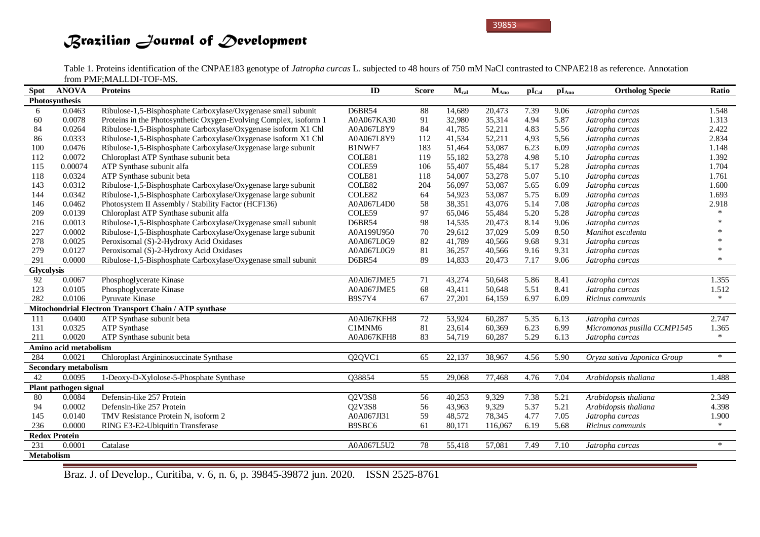Table 1. Proteins identification of the CNPAE183 genotype of *Jatropha curcas* L. subjected to 48 hours of 750 mM NaCl contrasted to CNPAE218 as reference. Annotation from PMF;MALLDI-TOF-MS.

| <b>Spot</b>       | <b>ANOVA</b>                | <b>Proteins</b>                                                   | ID                              | <b>Score</b> | $M_{cal}$ | $M_{Ano}$ | $\mathbf{pI}_{\text{Cal}}$ | pI <sub>Ano</sub> | <b>Ortholog Specie</b>      | Ratio  |
|-------------------|-----------------------------|-------------------------------------------------------------------|---------------------------------|--------------|-----------|-----------|----------------------------|-------------------|-----------------------------|--------|
|                   | Photosynthesis              |                                                                   |                                 |              |           |           |                            |                   |                             |        |
| 6                 | 0.0463                      | Ribulose-1,5-Bisphosphate Carboxylase/Oxygenase small subunit     | <b>D6BR54</b>                   | 88           | 14,689    | 20,473    | 7.39                       | 9.06              | Jatropha curcas             | 1.548  |
| 60                | 0.0078                      | Proteins in the Photosynthetic Oxygen-Evolving Complex, isoform 1 | A0A067KA30                      | 91           | 32,980    | 35,314    | 4.94                       | 5.87              | Jatropha curcas             | 1.313  |
| 84                | 0.0264                      | Ribulose-1,5-Bisphosphate Carboxylase/Oxygenase isoform X1 Chl    | A0A067L8Y9                      | 84           | 41,785    | 52,211    | 4.83                       | 5.56              | Jatropha curcas             | 2.422  |
| 86                | 0.0333                      | Ribulose-1,5-Bisphosphate Carboxylase/Oxygenase isoform X1 Chl    | A0A067L8Y9                      | 112          | 41,534    | 52,211    | 4,93                       | 5,56              | Jatropha curcas             | 2.834  |
| 100               | 0.0476                      | Ribulose-1,5-Bisphosphate Carboxylase/Oxygenase large subunit     | B1NWF7                          | 183          | 51,464    | 53,087    | 6.23                       | 6.09              | Jatropha curcas             | 1.148  |
| 112               | 0.0072                      | Chloroplast ATP Synthase subunit beta                             | COLE81                          | 119          | 55,182    | 53,278    | 4.98                       | 5.10              | Jatropha curcas             | 1.392  |
| 115               | 0.00074                     | ATP Synthase subunit alfa                                         | COLE59                          | 106          | 55,407    | 55,484    | 5.17                       | 5.28              | Jatropha curcas             | 1.704  |
| 118               | 0.0324                      | ATP Synthase subunit beta                                         | COLE81                          | 118          | 54,007    | 53,278    | 5.07                       | 5.10              | Jatropha curcas             | 1.761  |
| 143               | 0.0312                      | Ribulose-1,5-Bisphosphate Carboxylase/Oxygenase large subunit     | COLE82                          | 204          | 56,097    | 53,087    | 5.65                       | 6.09              | Jatropha curcas             | 1.600  |
| 144               | 0.0342                      | Ribulose-1,5-Bisphosphate Carboxylase/Oxygenase large subunit     | COLE82                          | 64           | 54,923    | 53,087    | 5.75                       | 6.09              | Jatropha curcas             | 1.693  |
| 146               | 0.0462                      | Photosystem II Assembly / Stability Factor (HCF136)               | A0A067L4D0                      | 58           | 38,351    | 43,076    | 5.14                       | 7.08              | Jatropha curcas             | 2.918  |
| 209               | 0.0139                      | Chloroplast ATP Synthase subunit alfa                             | COLE59                          | 97           | 65,046    | 55,484    | 5.20                       | 5.28              | Jatropha curcas             |        |
| 216               | 0.0013                      | Ribulose-1,5-Bisphosphate Carboxylase/Oxygenase small subunit     | <b>D6BR54</b>                   | 98           | 14,535    | 20,473    | 8.14                       | 9.06              | Jatropha curcas             |        |
| 227               | 0.0002                      | Ribulose-1,5-Bisphosphate Carboxylase/Oxygenase large subunit     | A0A199U950                      | 70           | 29,612    | 37,029    | 5.09                       | 8.50              | Manihot esculenta           |        |
| 278               | 0.0025                      | Peroxisomal (S)-2-Hydroxy Acid Oxidases                           | A0A067L0G9                      | 82           | 41,789    | 40,566    | 9.68                       | 9.31              | Jatropha curcas             |        |
| 279               | 0.0127                      | Peroxisomal (S)-2-Hydroxy Acid Oxidases                           | A0A067L0G9                      | 81           | 36,257    | 40,566    | 9.16                       | 9.31              | Jatropha curcas             |        |
| 291               | 0.0000                      | Ribulose-1,5-Bisphosphate Carboxylase/Oxygenase small subunit     | <b>D6BR54</b>                   | 89           | 14,833    | 20,473    | 7.17                       | 9.06              | Jatropha curcas             | $\ast$ |
| <b>Glycolysis</b> |                             |                                                                   |                                 |              |           |           |                            |                   |                             |        |
| 92                | 0.0067                      | Phosphoglycerate Kinase                                           | A0A067JME5                      | 71           | 43,274    | 50.648    | 5.86                       | 8.41              | Jatropha curcas             | 1.355  |
| 123               | 0.0105                      | Phosphoglycerate Kinase                                           | A0A067JME5                      | 68           | 43,411    | 50,648    | 5.51                       | 8.41              | Jatropha curcas             | 1.512  |
| 282               | 0.0106                      | Pyruvate Kinase                                                   | <b>B9S7Y4</b>                   | 67           | 27,201    | 64,159    | 6.97                       | 6.09              | Ricinus communis            | $\ast$ |
|                   |                             | Mitochondrial Electron Transport Chain / ATP synthase             |                                 |              |           |           |                            |                   |                             |        |
| 111               | 0.0400                      | ATP Synthase subunit beta                                         | A0A067KFH8                      | 72           | 53,924    | 60,287    | 5.35                       | 6.13              | Jatropha curcas             | 2.747  |
| 131               | 0.0325                      | <b>ATP Synthase</b>                                               | C1MNM6                          | 81           | 23,614    | 60,369    | 6.23                       | 6.99              | Micromonas pusilla CCMP1545 | 1.365  |
| 211               | 0.0020                      | ATP Synthase subunit beta                                         | A0A067KFH8                      | 83           | 54,719    | 60,287    | 5.29                       | 6.13              | Jatropha curcas             | $\ast$ |
|                   | Amino acid metabolism       |                                                                   |                                 |              |           |           |                            |                   |                             |        |
| 284               | 0.0021                      | Chloroplast Argininosuccinate Synthase                            | Q <sub>2</sub> QVC <sub>1</sub> | 65           | 22,137    | 38,967    | 4.56                       | 5.90              | Oryza sativa Japonica Group | $\ast$ |
|                   | <b>Secondary metabolism</b> |                                                                   |                                 |              |           |           |                            |                   |                             |        |
| 42                | 0.0095                      | 1-Deoxy-D-Xylolose-5-Phosphate Synthase                           | Q38854                          | 55           | 29,068    | 77,468    | 4.76                       | 7.04              | Arabidopsis thaliana        | 1.488  |
|                   | Plant pathogen signal       |                                                                   |                                 |              |           |           |                            |                   |                             |        |
| 80                | 0.0084                      | Defensin-like 257 Protein                                         | Q2V3S8                          | 56           | 40,253    | 9,329     | 7.38                       | 5.21              | Arabidopsis thaliana        | 2.349  |
| 94                | 0.0002                      | Defensin-like 257 Protein                                         | Q2V3S8                          | 56           | 43,963    | 9,329     | 5.37                       | 5.21              | Arabidopsis thaliana        | 4.398  |
| 145               | 0.0140                      | TMV Resistance Protein N, isoform 2                               | A0A067JI31                      | 59           | 48,572    | 78,345    | 4.77                       | 7.05              | Jatropha curcas             | 1.900  |
| 236               | 0.0000                      | RING E3-E2-Ubiquitin Transferase                                  | B9SBC6                          | 61           | 80,171    | 116,067   | 6.19                       | 5.68              | Ricinus communis            | $\ast$ |
|                   | <b>Redox Protein</b>        |                                                                   |                                 |              |           |           |                            |                   |                             |        |
| 231               | 0.0001                      | Catalase                                                          | A0A067L5U2                      | 78           | 55,418    | 57,081    | 7.49                       | 7.10              | Jatropha curcas             | $\ast$ |
| <b>Metabolism</b> |                             |                                                                   |                                 |              |           |           |                            |                   |                             |        |

Braz. J. of Develop., Curitiba, v. 6, n. 6, p. 39845-39872 jun. 2020. ISSN 2525-8761

and a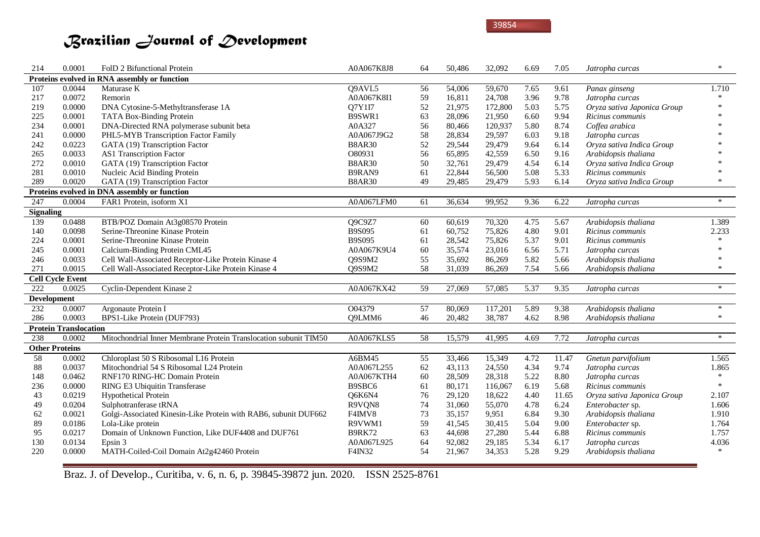| 214                | 0.0001                       | FolD 2 Bifunctional Protein                                      | A0A067K8J8    | 64 | 50,486 | 32,092  | 6.69 | 7.05  | Jatropha curcas             | $\ast$ |
|--------------------|------------------------------|------------------------------------------------------------------|---------------|----|--------|---------|------|-------|-----------------------------|--------|
|                    |                              | Proteins evolved in RNA assembly or function                     |               |    |        |         |      |       |                             |        |
| 107                | 0.0044                       | Maturase K                                                       | Q9AVL5        | 56 | 54,006 | 59,670  | 7.65 | 9.61  | Panax ginseng               | 1.710  |
| 217                | 0.0072                       | Remorin                                                          | A0A067K8I1    | 59 | 16,811 | 24,708  | 3.96 | 9.78  | Jatropha curcas             | $\ast$ |
| 219                | 0.0000                       | DNA Cytosine-5-Methyltransferase 1A                              | Q7Y1I7        | 52 | 21,975 | 172,800 | 5.03 | 5.75  | Oryza sativa Japonica Group |        |
| 225                | 0.0001                       | TATA Box-Binding Protein                                         | B9SWR1        | 63 | 28,096 | 21,950  | 6.60 | 9.94  | Ricinus communis            |        |
| 234                | 0.0001                       | DNA-Directed RNA polymerase subunit beta                         | A0A327        | 56 | 80,466 | 120,937 | 5.80 | 8.74  | Coffea arabica              |        |
| 241                | 0.0000                       | PHL5-MYB Transcription Factor Family                             | A0A067J9G2    | 58 | 28,834 | 29,597  | 6.03 | 9.18  | Jatropha curcas             |        |
| 242                | 0.0223                       | GATA (19) Transcription Factor                                   | <b>B8AR30</b> | 52 | 29,544 | 29,479  | 9.64 | 6.14  | Oryza sativa Indica Group   |        |
| 265                | 0.0033                       | AS1 Transcription Factor                                         | O80931        | 56 | 65,895 | 42,559  | 6.50 | 9.16  | Arabidopsis thaliana        |        |
| 272                | 0.0010                       | GATA (19) Transcription Factor                                   | <b>B8AR30</b> | 50 | 32,761 | 29,479  | 4.54 | 6.14  | Oryza sativa Indica Group   |        |
| 281                | 0.0010                       | Nucleic Acid Binding Protein                                     | B9RAN9        | 61 | 22,844 | 56,500  | 5.08 | 5.33  | Ricinus communis            | $\ast$ |
| 289                | 0.0020                       | GATA (19) Transcription Factor                                   | <b>B8AR30</b> | 49 | 29,485 | 29,479  | 5.93 | 6.14  | Oryza sativa Indica Group   | $\ast$ |
|                    |                              | Proteins evolved in DNA assembly or function                     |               |    |        |         |      |       |                             |        |
| 247                | 0.0004                       | FAR1 Protein, isoform X1                                         | A0A067LFM0    | 61 | 36,634 | 99,952  | 9.36 | 6.22  | Jatropha curcas             | $\ast$ |
| <b>Signaling</b>   |                              |                                                                  |               |    |        |         |      |       |                             |        |
| 139                | 0.0488                       | BTB/POZ Domain At3g08570 Protein                                 | Q9C9Z7        | 60 | 60,619 | 70,320  | 4.75 | 5.67  | Arabidopsis thaliana        | 1.389  |
| 140                | 0.0098                       | Serine-Threonine Kinase Protein                                  | B9S095        | 61 | 60,752 | 75,826  | 4.80 | 9.01  | Ricinus communis            | 2.233  |
| 224                | 0.0001                       | Serine-Threonine Kinase Protein                                  | <b>B9S095</b> | 61 | 28,542 | 75,826  | 5.37 | 9.01  | Ricinus communis            | $\ast$ |
| 245                | 0.0001                       | Calcium-Binding Protein CML45                                    | A0A067K9U4    | 60 | 35,574 | 23,016  | 6.56 | 5.71  | Jatropha curcas             | $\ast$ |
| 246                | 0.0033                       | Cell Wall-Associated Receptor-Like Protein Kinase 4              | Q9S9M2        | 55 | 35,692 | 86,269  | 5.82 | 5.66  | Arabidopsis thaliana        | $\ast$ |
| 271                | 0.0015                       | Cell Wall-Associated Receptor-Like Protein Kinase 4              | Q9S9M2        | 58 | 31,039 | 86,269  | 7.54 | 5.66  | Arabidopsis thaliana        | $\ast$ |
|                    | <b>Cell Cycle Event</b>      |                                                                  |               |    |        |         |      |       |                             |        |
| 222                | 0.0025                       | Cyclin-Dependent Kinase 2                                        | A0A067KX42    | 59 | 27,069 | 57,085  | 5.37 | 9.35  | Jatropha curcas             | $*$    |
| <b>Development</b> |                              |                                                                  |               |    |        |         |      |       |                             |        |
| 232                | 0.0007                       | Argonaute Protein I                                              | O04379        | 57 | 80,069 | 117,201 | 5.89 | 9.38  | Arabidopsis thaliana        | $\ast$ |
| 286                | 0.0003                       | BPS1-Like Protein (DUF793)                                       | Q9LMM6        | 46 | 20,482 | 38,787  | 4.62 | 8.98  | Arabidopsis thaliana        | $\ast$ |
|                    | <b>Protein Translocation</b> |                                                                  |               |    |        |         |      |       |                             |        |
| 238                | 0.0002                       | Mitochondrial Inner Membrane Protein Translocation subunit TIM50 | A0A067KLS5    | 58 | 15,579 | 41,995  | 4.69 | 7.72  | Jatropha curcas             | $\ast$ |
|                    | <b>Other Proteins</b>        |                                                                  |               |    |        |         |      |       |                             |        |
| 58                 | 0.0002                       | Chloroplast 50 S Ribosomal L16 Protein                           | A6BM45        | 55 | 33,466 | 15,349  | 4.72 | 11.47 | Gnetun parvifolium          | 1.565  |
| $88\,$             | 0.0037                       | Mitochondrial 54 S Ribosomal L24 Protein                         | A0A067L255    | 62 | 43,113 | 24,550  | 4.34 | 9.74  | Jatropha curcas             | 1.865  |
| 148                | 0.0462                       | RNF170 RING-HC Domain Protein                                    | A0A067KTH4    | 60 | 28,509 | 28,318  | 5.22 | 8.80  | Jatropha curcas             | $\ast$ |
| 236                | 0.0000                       | RING E3 Ubiquitin Transferase                                    | B9SBC6        | 61 | 80,171 | 116,067 | 6.19 | 5.68  | Ricinus communis            | $\ast$ |
| 43                 | 0.0219                       | <b>Hypothetical Protein</b>                                      | Q6K6N4        | 76 | 29,120 | 18,622  | 4.40 | 11.65 | Oryza sativa Japonica Group | 2.107  |
| 49                 | 0.0204                       | Sulphotranferase tRNA                                            | R9VQN8        | 74 | 31,060 | 55,070  | 4.78 | 6.24  | Enterobacter sp.            | 1.606  |
| 62                 | 0.0021                       | Golgi-Associated Kinesin-Like Protein with RAB6, subunit DUF662  | F4IMV8        | 73 | 35,157 | 9,951   | 6.84 | 9.30  | Arabidopsis thaliana        | 1.910  |
| 89                 | 0.0186                       | Lola-Like protein                                                | R9VWM1        | 59 | 41,545 | 30,415  | 5.04 | 9.00  | Enterobacter sp.            | 1.764  |
| 95                 | 0.0217                       | Domain of Unknown Function, Like DUF4408 and DUF761              | <b>B9RK72</b> | 63 | 44,698 | 27,280  | 5.44 | 6.88  | Ricinus communis            | 1.757  |
| 130                | 0.0134                       | Epsin 3                                                          | A0A067L925    | 64 | 92,082 | 29,185  | 5.34 | 6.17  | Jatropha curcas             | 4.036  |
| 220                | 0.0000                       | MATH-Coiled-Coil Domain At2g42460 Protein                        | F4IN32        | 54 | 21,967 | 34,353  | 5.28 | 9.29  | Arabidopsis thaliana        | $\ast$ |
|                    |                              |                                                                  |               |    |        |         |      |       |                             |        |

Braz. J. of Develop., Curitiba, v. 6, n. 6, p. 39845-39872 jun. 2020. ISSN 2525-8761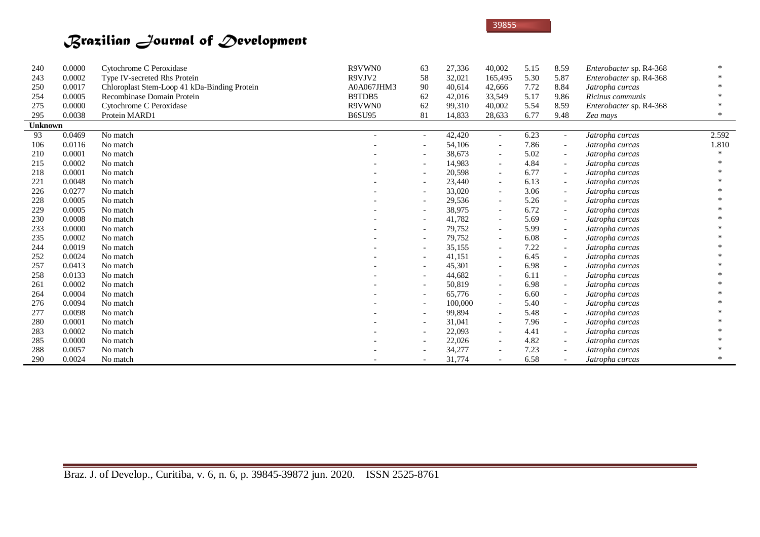| 240            | 0.0000 | Cytochrome C Peroxidase                      | R9VWN0        | 63                       | 27,336  | 40,002                   | 5.15 | 8.59                     | Enterobacter sp. R4-368 |        |
|----------------|--------|----------------------------------------------|---------------|--------------------------|---------|--------------------------|------|--------------------------|-------------------------|--------|
| 243            | 0.0002 | Type IV-secreted Rhs Protein                 | R9VJV2        | 58                       | 32,021  | 165,495                  | 5.30 | 5.87                     | Enterobacter sp. R4-368 |        |
| 250            | 0.0017 | Chloroplast Stem-Loop 41 kDa-Binding Protein | A0A067JHM3    | 90                       | 40,614  | 42,666                   | 7.72 | 8.84                     | Jatropha curcas         |        |
| 254            | 0.0005 | Recombinase Domain Protein                   | B9TDB5        | 62                       | 42,016  | 33,549                   | 5.17 | 9.86                     | Ricinus communis        |        |
| 275            | 0.0000 | Cytochrome C Peroxidase                      | R9VWN0        | 62                       | 99,310  | 40,002                   | 5.54 | 8.59                     | Enterobacter sp. R4-368 |        |
| 295            | 0.0038 | Protein MARD1                                | <b>B6SU95</b> | 81                       | 14,833  | 28,633                   | 6.77 | 9.48                     | Zea mays                | $\ast$ |
| <b>Unknown</b> |        |                                              |               |                          |         |                          |      |                          |                         |        |
| 93             | 0.0469 | No match                                     |               | $\overline{\phantom{a}}$ | 42,420  | $\sim$                   | 6.23 |                          | Jatropha curcas         | 2.592  |
| 106            | 0.0116 | No match                                     |               | $\qquad \qquad -$        | 54,106  | $\overline{\phantom{a}}$ | 7.86 | $-$                      | Jatropha curcas         | 1.810  |
| 210            | 0.0001 | No match                                     |               | $\overline{\phantom{a}}$ | 38,673  | $\overline{\phantom{a}}$ | 5.02 |                          | Jatropha curcas         |        |
| 215            | 0.0002 | No match                                     |               |                          | 14,983  | $\overline{\phantom{a}}$ | 4.84 |                          | Jatropha curcas         |        |
| 218            | 0.0001 | No match                                     |               | $\overline{\phantom{a}}$ | 20,598  | $ \,$                    | 6.77 | $-$                      | Jatropha curcas         |        |
| 221            | 0.0048 | No match                                     |               | $\qquad \qquad -$        | 23,440  | $\overline{\phantom{a}}$ | 6.13 |                          | Jatropha curcas         |        |
| 226            | 0.0277 | No match                                     |               | $\overline{\phantom{a}}$ | 33,020  | $ \,$                    | 3.06 |                          | Jatropha curcas         |        |
| 228            | 0.0005 | No match                                     |               | $\overline{\phantom{a}}$ | 29,536  | $ \,$                    | 5.26 | $\overline{\phantom{0}}$ | Jatropha curcas         |        |
| 229            | 0.0005 | No match                                     |               | $\overline{\phantom{a}}$ | 38,975  | $ \,$                    | 6.72 |                          | Jatropha curcas         |        |
| 230            | 0.0008 | No match                                     |               | $\overline{\phantom{a}}$ | 41,782  | $ \,$                    | 5.69 |                          | Jatropha curcas         |        |
| 233            | 0.0000 | No match                                     |               | $\overline{\phantom{a}}$ | 79,752  | $ \,$                    | 5.99 |                          | Jatropha curcas         |        |
| 235            | 0.0002 | No match                                     |               | $\overline{\phantom{a}}$ | 79,752  | $ \,$                    | 6.08 |                          | Jatropha curcas         |        |
| 244            | 0.0019 | No match                                     |               | $\overline{\phantom{a}}$ | 35,155  | $\overline{\phantom{a}}$ | 7.22 |                          | Jatropha curcas         |        |
| 252            | 0.0024 | No match                                     |               | $\overline{\phantom{a}}$ | 41,151  | $ \,$                    | 6.45 |                          | Jatropha curcas         |        |
| 257            | 0.0413 | No match                                     |               | $\overline{\phantom{a}}$ | 45,301  | $ \,$                    | 6.98 | $-$                      | Jatropha curcas         |        |
| 258            | 0.0133 | No match                                     |               | $\overline{\phantom{a}}$ | 44,682  | $\overline{\phantom{a}}$ | 6.11 |                          | Jatropha curcas         |        |
| 261            | 0.0002 | No match                                     |               | $\overline{\phantom{a}}$ | 50,819  | $\sim$                   | 6.98 |                          | Jatropha curcas         |        |
| 264            | 0.0004 | No match                                     |               | $\overline{\phantom{a}}$ | 65,776  | $ \,$                    | 6.60 | $\overline{\phantom{0}}$ | Jatropha curcas         |        |
| 276            | 0.0094 | No match                                     |               | $\overline{\phantom{a}}$ | 100,000 | $\overline{\phantom{a}}$ | 5.40 |                          | Jatropha curcas         |        |
| 277            | 0.0098 | No match                                     |               | $\overline{\phantom{a}}$ | 99,894  | $ \,$                    | 5.48 |                          | Jatropha curcas         |        |
| 280            | 0.0001 | No match                                     |               | $\overline{\phantom{a}}$ | 31,041  | $ \,$                    | 7.96 |                          | Jatropha curcas         |        |
| 283            | 0.0002 | No match                                     |               | $\overline{\phantom{a}}$ | 22,093  | $ \,$                    | 4.41 | $-$                      | Jatropha curcas         |        |
| 285            | 0.0000 | No match                                     |               | $\overline{\phantom{a}}$ | 22,026  | $ \,$                    | 4.82 |                          | Jatropha curcas         |        |
| 288            | 0.0057 | No match                                     |               |                          | 34,277  | $-$                      | 7.23 |                          | Jatropha curcas         |        |
| 290            | 0.0024 | No match                                     |               | $\overline{\phantom{a}}$ | 31,774  | $\overline{\phantom{a}}$ | 6.58 |                          | Jatropha curcas         |        |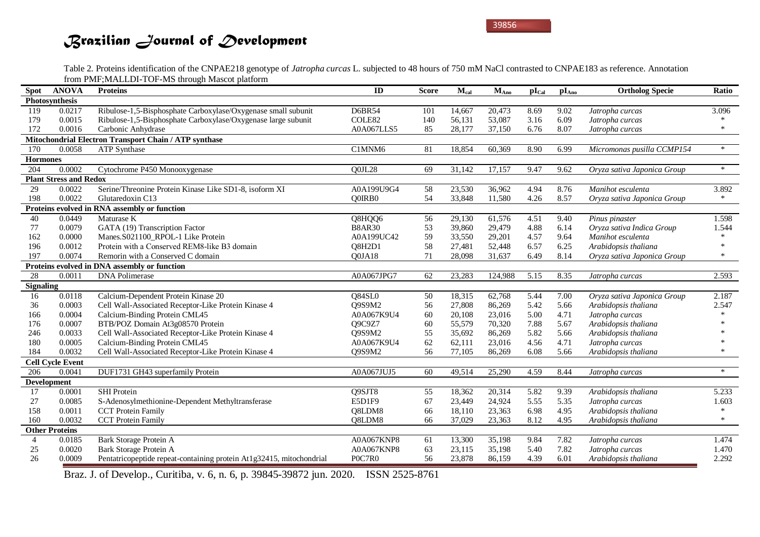Table 2. Proteins identification of the CNPAE218 genotype of *Jatropha curcas* L. subjected to 48 hours of 750 mM NaCl contrasted to CNPAE183 as reference. Annotation from PMF;MALLDI-TOF-MS through Mascot platform

| Spot             | <b>ANOVA</b>                  | <b>Proteins</b>                                                      | ID            | <b>Score</b> | $M_{cal}$ | $M_{Ano}$ | $pI_{Cal}$ | $pI_{Ano}$ | <b>Ortholog Specie</b>      | Ratio  |
|------------------|-------------------------------|----------------------------------------------------------------------|---------------|--------------|-----------|-----------|------------|------------|-----------------------------|--------|
|                  | Photosynthesis                |                                                                      |               |              |           |           |            |            |                             |        |
| 119              | 0.0217                        | Ribulose-1,5-Bisphosphate Carboxylase/Oxygenase small subunit        | <b>D6BR54</b> | 101          | 14,667    | 20,473    | 8.69       | 9.02       | Jatropha curcas             | 3.096  |
| 179              | 0.0015                        | Ribulose-1,5-Bisphosphate Carboxylase/Oxygenase large subunit        | COLE82        | 140          | 56,131    | 53,087    | 3.16       | 6.09       | Jatropha curcas             |        |
| 172              | 0.0016                        | Carbonic Anhydrase                                                   | A0A067LLS5    | 85           | 28,177    | 37,150    | 6.76       | 8.07       | Jatropha curcas             | $\ast$ |
|                  |                               | Mitochondrial Electron Transport Chain / ATP synthase                |               |              |           |           |            |            |                             |        |
| 170              | 0.0058                        | <b>ATP Synthase</b>                                                  | C1MNM6        | 81           | 18,854    | 60,369    | 8.90       | 6.99       | Micromonas pusilla CCMP154  | $\ast$ |
| <b>Hormones</b>  |                               |                                                                      |               |              |           |           |            |            |                             |        |
| 204              | 0.0002                        | Cytochrome P450 Monooxygenase                                        | Q0JL28        | 69           | 31,142    | 17,157    | 9.47       | 9.62       | Oryza sativa Japonica Group | $\ast$ |
|                  | <b>Plant Stress and Redox</b> |                                                                      |               |              |           |           |            |            |                             |        |
| 29               | 0.0022                        | Serine/Threonine Protein Kinase Like SD1-8, isoform XI               | A0A199U9G4    | 58           | 23,530    | 36,962    | 4.94       | 8.76       | Manihot esculenta           | 3.892  |
| 198              | 0.0022                        | Glutaredoxin C13                                                     | O0IRB0        | 54           | 33,848    | 11,580    | 4.26       | 8.57       | Oryza sativa Japonica Group | $\ast$ |
|                  |                               | Proteins evolved in RNA assembly or function                         |               |              |           |           |            |            |                             |        |
| 40               | 0.0449                        | Maturase K                                                           | Q8HQQ6        | 56           | 29,130    | 61,576    | 4.51       | 9.40       | Pinus pinaster              | 1.598  |
| 77               | 0.0079                        | GATA (19) Transcription Factor                                       | <b>B8AR30</b> | 53           | 39,860    | 29,479    | 4.88       | 6.14       | Oryza sativa Indica Group   | 1.544  |
| 162              | 0.0000                        | Manes.S021100_RPOL-1 Like Protein                                    | A0A199UC42    | 59           | 33,550    | 29,201    | 4.57       | 9.64       | Manihot esculenta           | $\ast$ |
| 196              | 0.0012                        | Protein with a Conserved REM8-like B3 domain                         | Q8H2D1        | 58           | 27,481    | 52,448    | 6.57       | 6.25       | Arabidopsis thaliana        | $\ast$ |
| 197              | 0.0074                        | Remorin with a Conserved C domain                                    | Q0JA18        | 71           | 28,098    | 31,637    | 6.49       | 8.14       | Oryza sativa Japonica Group | $\ast$ |
|                  |                               | Proteins evolved in DNA assembly or function                         |               |              |           |           |            |            |                             |        |
| 28               | 0.0011                        | <b>DNA</b> Polimerase                                                | A0A067JPG7    | 62           | 23,283    | 124,988   | 5.15       | 8.35       | Jatropha curcas             | 2.593  |
| <b>Signaling</b> |                               |                                                                      |               |              |           |           |            |            |                             |        |
| 16               | 0.0118                        | Calcium-Dependent Protein Kinase 20                                  | Q84SL0        | 50           | 18,315    | 62,768    | 5.44       | 7.00       | Oryza sativa Japonica Group | 2.187  |
| 36               | 0.0003                        | Cell Wall-Associated Receptor-Like Protein Kinase 4                  | Q9S9M2        | 56           | 27,808    | 86,269    | 5.42       | 5.66       | Arabidopsis thaliana        | 2.547  |
| 166              | 0.0004                        | Calcium-Binding Protein CML45                                        | A0A067K9U4    | 60           | 20,108    | 23,016    | 5.00       | 4.71       | Jatropha curcas             |        |
| 176              | 0.0007                        | BTB/POZ Domain At3g08570 Protein                                     | Q9C9Z7        | 60           | 55,579    | 70,320    | 7.88       | 5.67       | Arabidopsis thaliana        |        |
| 246              | 0.0033                        | Cell Wall-Associated Receptor-Like Protein Kinase 4                  | Q9S9M2        | 55           | 35,692    | 86,269    | 5.82       | 5.66       | Arabidopsis thaliana        |        |
| 180              | 0.0005                        | Calcium-Binding Protein CML45                                        | A0A067K9U4    | 62           | 62,111    | 23,016    | 4.56       | 4.71       | Jatropha curcas             |        |
| 184              | 0.0032                        | Cell Wall-Associated Receptor-Like Protein Kinase 4                  | Q9S9M2        | 56           | 77,105    | 86,269    | 6.08       | 5.66       | Arabidopsis thaliana        | $\ast$ |
|                  | <b>Cell Cycle Event</b>       |                                                                      |               |              |           |           |            |            |                             |        |
| 206              | 0.0041                        | DUF1731 GH43 superfamily Protein                                     | A0A067JUJ5    | 60           | 49,514    | 25,290    | 4.59       | 8.44       | Jatropha curcas             | $\ast$ |
|                  | <b>Development</b>            |                                                                      |               |              |           |           |            |            |                             |        |
| 17               | 0.0001                        | <b>SHI</b> Protein                                                   | Q9SJT8        | 55           | 18,362    | 20,314    | 5.82       | 9.39       | Arabidopsis thaliana        | 5.233  |
| 27               | 0.0085                        | S-Adenosylmethionine-Dependent Methyltransferase                     | E5D1F9        | 67           | 23,449    | 24,924    | 5.55       | 5.35       | Jatropha curcas             | 1.603  |
| 158              | 0.0011                        | <b>CCT</b> Protein Family                                            | Q8LDM8        | 66           | 18,110    | 23,363    | 6.98       | 4.95       | Arabidopsis thaliana        | $\ast$ |
| 160              | 0.0032                        | <b>CCT</b> Protein Family                                            | Q8LDM8        | 66           | 37,029    | 23,363    | 8.12       | 4.95       | Arabidopsis thaliana        | $\ast$ |
|                  | <b>Other Proteins</b>         |                                                                      |               |              |           |           |            |            |                             |        |
| $\overline{4}$   | 0.0185                        | Bark Storage Protein A                                               | A0A067KNP8    | 61           | 13,300    | 35,198    | 9.84       | 7.82       | Jatropha curcas             | 1.474  |
| 25               | 0.0020                        | Bark Storage Protein A                                               | A0A067KNP8    | 63           | 23,115    | 35,198    | 5.40       | 7.82       | Jatropha curcas             | 1.470  |
| 26               | 0.0009                        | Pentatricopeptide repeat-containing protein At1g32415, mitochondrial | P0C7R0        | 56           | 23,878    | 86,159    | 4.39       | 6.01       | Arabidopsis thaliana        | 2.292  |

Braz. J. of Develop., Curitiba, v. 6, n. 6, p. 39845-39872 jun. 2020. ISSN 2525-8761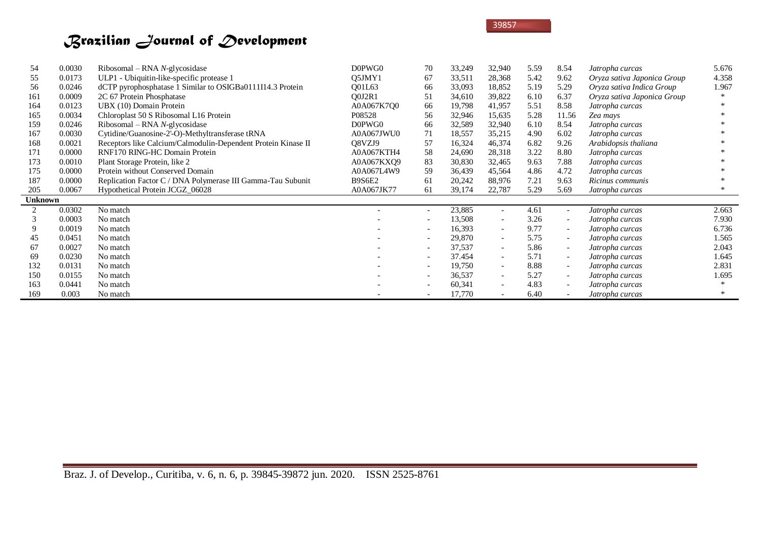| 54             | 0.0030 | $Ribosomal - RNA N-glycosidase$                               | D0PWG0        | 70                       | 33,249 | 32,940                   | 5.59 | 8.54                     | Jatropha curcas             | 5.676  |
|----------------|--------|---------------------------------------------------------------|---------------|--------------------------|--------|--------------------------|------|--------------------------|-----------------------------|--------|
| 55             | 0.0173 | ULP1 - Ubiquitin-like-specific protease 1                     | O5JMY1        | 67                       | 33,511 | 28,368                   | 5.42 | 9.62                     | Oryza sativa Japonica Group | 4.358  |
| 56             | 0.0246 | dCTP pyrophosphatase 1 Similar to OSIGBa0111I14.3 Protein     | <b>O01L63</b> | 66                       | 33,093 | 18,852                   | 5.19 | 5.29                     | Oryza sativa Indica Group   | 1.967  |
| 161            | 0.0009 | 2C 67 Protein Phosphatase                                     | O0J2R1        | 51                       | 34,610 | 39,822                   | 6.10 | 6.37                     | Oryza sativa Japonica Group | $\ast$ |
| 164            | 0.0123 | UBX (10) Domain Protein                                       | A0A067K7O0    | 66                       | 19,798 | 41,957                   | 5.51 | 8.58                     | Jatropha curcas             |        |
| 165            | 0.0034 | Chloroplast 50 S Ribosomal L16 Protein                        | P08528        | 56                       | 32,946 | 15,635                   | 5.28 | 11.56                    | Zea mays                    |        |
| 159            | 0.0246 | Ribosomal – RNA $N$ -glycosidase                              | D0PWG0        | 66                       | 32,589 | 32,940                   | 6.10 | 8.54                     | Jatropha curcas             |        |
| 167            | 0.0030 | Cytidine/Guanosine-2'-O)-Methyltransferase tRNA               | A0A067JWU0    | 71                       | 18,557 | 35,215                   | 4.90 | 6.02                     | Jatropha curcas             |        |
| 168            | 0.0021 | Receptors like Calcium/Calmodulin-Dependent Protein Kinase II | O8VZJ9        | 57                       | 16,324 | 46,374                   | 6.82 | 9.26                     | Arabidopsis thaliana        |        |
| 171            | 0.0000 | RNF170 RING-HC Domain Protein                                 | A0A067KTH4    | 58                       | 24,690 | 28,318                   | 3.22 | 8.80                     | Jatropha curcas             |        |
| 173            | 0.0010 | Plant Storage Protein, like 2                                 | A0A067KXO9    | 83                       | 30,830 | 32,465                   | 9.63 | 7.88                     | Jatropha curcas             |        |
| 175            | 0.0000 | Protein without Conserved Domain                              | A0A067L4W9    | 59                       | 36,439 | 45,564                   | 4.86 | 4.72                     | Jatropha curcas             |        |
| 187            | 0.0000 | Replication Factor C / DNA Polymerase III Gamma-Tau Subunit   | <b>B9S6E2</b> | 61                       | 20,242 | 88,976                   | 7.21 | 9.63                     | Ricinus communis            |        |
| 205            | 0.0067 | Hypothetical Protein JCGZ 06028                               | A0A067JK77    | 61                       | 39,174 | 22,787                   | 5.29 | 5.69                     | Jatropha curcas             | $\ast$ |
| <b>Unknown</b> |        |                                                               |               |                          |        |                          |      |                          |                             |        |
|                | 0.0302 | No match                                                      |               | $\overline{\phantom{a}}$ | 23,885 | $\overline{\phantom{a}}$ | 4.61 | $ \,$                    | Jatropha curcas             | 2.663  |
|                | 0.0003 | No match                                                      |               | $\overline{\phantom{0}}$ | 13,508 | $\overline{\phantom{a}}$ | 3.26 | $\overline{\phantom{a}}$ | Jatropha curcas             | 7.930  |
| 9              | 0.0019 | No match                                                      |               | $\sim$                   | 16,393 | $\sim$                   | 9.77 | $ \,$                    | Jatropha curcas             | 6.736  |
| 45             | 0.0451 | No match                                                      |               | $\overline{\phantom{a}}$ | 29,870 | $\overline{\phantom{a}}$ | 5.75 | $\overline{\phantom{a}}$ | Jatropha curcas             | 1.565  |
| 67             | 0.0027 | No match                                                      |               | $\sim$                   | 37,537 | $\sim$                   | 5.86 | $\overline{\phantom{a}}$ | Jatropha curcas             | 2.043  |
| 69             | 0.0230 | No match                                                      |               | $\overline{\phantom{a}}$ | 37.454 | $\overline{\phantom{a}}$ | 5.71 | $ \,$                    | Jatropha curcas             | 1.645  |
| 132            | 0.0131 | No match                                                      |               | $\overline{\phantom{a}}$ | 19,750 | $\sim$                   | 8.88 | $\overline{\phantom{a}}$ | Jatropha curcas             | 2.831  |
| 150            | 0.0155 | No match                                                      |               | $\overline{\phantom{a}}$ | 36,537 | $\sim$                   | 5.27 | $ \,$                    | Jatropha curcas             | 1.695  |
| 163            | 0.0441 | No match                                                      |               | $\overline{\phantom{a}}$ | 60,341 | $\sim$                   | 4.83 | $\overline{\phantom{a}}$ | Jatropha curcas             |        |
| 169            | 0.003  | No match                                                      |               | $\overline{\phantom{a}}$ | 17,770 | $\overline{\phantom{a}}$ | 6.40 |                          | Jatropha curcas             |        |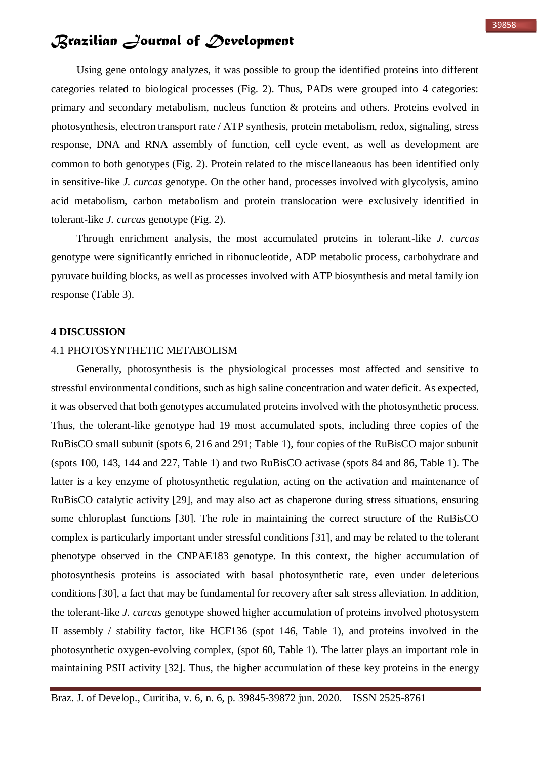Using gene ontology analyzes, it was possible to group the identified proteins into different categories related to biological processes (Fig. 2). Thus, PADs were grouped into 4 categories: primary and secondary metabolism, nucleus function & proteins and others. Proteins evolved in photosynthesis, electron transport rate / ATP synthesis, protein metabolism, redox, signaling, stress response, DNA and RNA assembly of function, cell cycle event, as well as development are common to both genotypes (Fig. 2). Protein related to the miscellaneaous has been identified only in sensitive-like *J. curcas* genotype. On the other hand, processes involved with glycolysis, amino acid metabolism, carbon metabolism and protein translocation were exclusively identified in tolerant-like *J. curcas* genotype (Fig. 2).

Through enrichment analysis, the most accumulated proteins in tolerant-like *J. curcas* genotype were significantly enriched in ribonucleotide, ADP metabolic process, carbohydrate and pyruvate building blocks, as well as processes involved with ATP biosynthesis and metal family ion response (Table 3).

### **4 DISCUSSION**

## 4.1 PHOTOSYNTHETIC METABOLISM

Generally, photosynthesis is the physiological processes most affected and sensitive to stressful environmental conditions, such as high saline concentration and water deficit. As expected, it was observed that both genotypes accumulated proteins involved with the photosynthetic process. Thus, the tolerant-like genotype had 19 most accumulated spots, including three copies of the RuBisCO small subunit (spots 6, 216 and 291; Table 1), four copies of the RuBisCO major subunit (spots 100, 143, 144 and 227, Table 1) and two RuBisCO activase (spots 84 and 86, Table 1). The latter is a key enzyme of photosynthetic regulation, acting on the activation and maintenance of RuBisCO catalytic activity [29], and may also act as chaperone during stress situations, ensuring some chloroplast functions [30]. The role in maintaining the correct structure of the RuBisCO complex is particularly important under stressful conditions [31], and may be related to the tolerant phenotype observed in the CNPAE183 genotype. In this context, the higher accumulation of photosynthesis proteins is associated with basal photosynthetic rate, even under deleterious conditions [30], a fact that may be fundamental for recovery after salt stress alleviation. In addition, the tolerant-like *J. curcas* genotype showed higher accumulation of proteins involved photosystem II assembly / stability factor, like HCF136 (spot 146, Table 1), and proteins involved in the photosynthetic oxygen-evolving complex, (spot 60, Table 1). The latter plays an important role in maintaining PSII activity [32]. Thus, the higher accumulation of these key proteins in the energy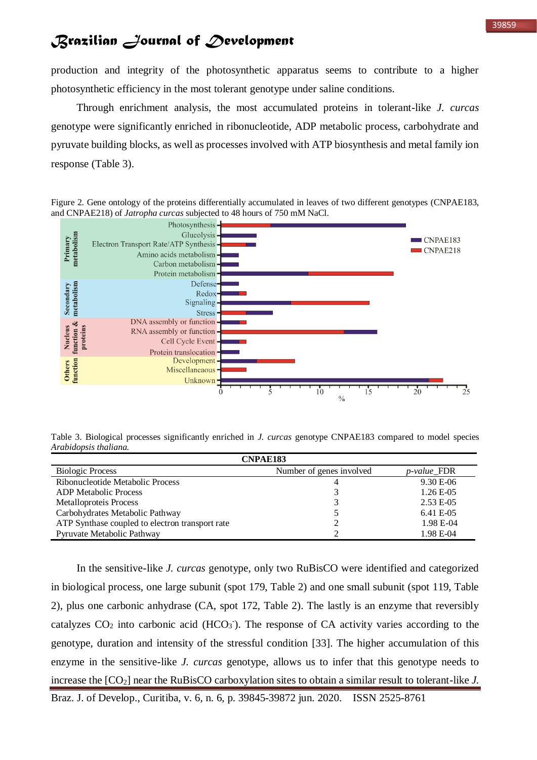production and integrity of the photosynthetic apparatus seems to contribute to a higher photosynthetic efficiency in the most tolerant genotype under saline conditions.

Through enrichment analysis, the most accumulated proteins in tolerant-like *J. curcas* genotype were significantly enriched in ribonucleotide, ADP metabolic process, carbohydrate and pyruvate building blocks, as well as processes involved with ATP biosynthesis and metal family ion response (Table 3).

Figure 2. Gene ontology of the proteins differentially accumulated in leaves of two different genotypes (CNPAE183, and CNPAE218) of *Jatropha curcas* subjected to 48 hours of 750 mM NaCl.



Table 3. Biological processes significantly enriched in *J. curcas* genotype CNPAE183 compared to model species *Arabidopsis thaliana.*

| <b>CNPAE183</b>                                 |                          |                     |  |  |  |  |  |  |
|-------------------------------------------------|--------------------------|---------------------|--|--|--|--|--|--|
| <b>Biologic Process</b>                         | Number of genes involved | <i>p</i> -value_FDR |  |  |  |  |  |  |
| Ribonucleotide Metabolic Process                |                          | $9.30 E - 06$       |  |  |  |  |  |  |
| <b>ADP</b> Metabolic Process                    |                          | $1.26E - 05$        |  |  |  |  |  |  |
| Metalloproteis Process                          |                          | 2.53 E-05           |  |  |  |  |  |  |
| Carbohydrates Metabolic Pathway                 |                          | 6.41 E-05           |  |  |  |  |  |  |
| ATP Synthase coupled to electron transport rate |                          | 1.98 E-04           |  |  |  |  |  |  |
| Pyruvate Metabolic Pathway                      |                          | 1.98 E-04           |  |  |  |  |  |  |

In the sensitive-like *J. curcas* genotype, only two RuBisCO were identified and categorized in biological process, one large subunit (spot 179, Table 2) and one small subunit (spot 119, Table 2), plus one carbonic anhydrase (CA, spot 172, Table 2). The lastly is an enzyme that reversibly catalyzes  $CO<sub>2</sub>$  into carbonic acid (HCO<sub>3</sub>). The response of CA activity varies according to the genotype, duration and intensity of the stressful condition [33]. The higher accumulation of this enzyme in the sensitive-like *J. curcas* genotype, allows us to infer that this genotype needs to increase the  $[CO_2]$  near the RuBisCO carboxylation sites to obtain a similar result to tolerant-like *J*.

Braz. J. of Develop., Curitiba, v. 6, n. 6, p. 39845-39872 jun. 2020. ISSN 2525-8761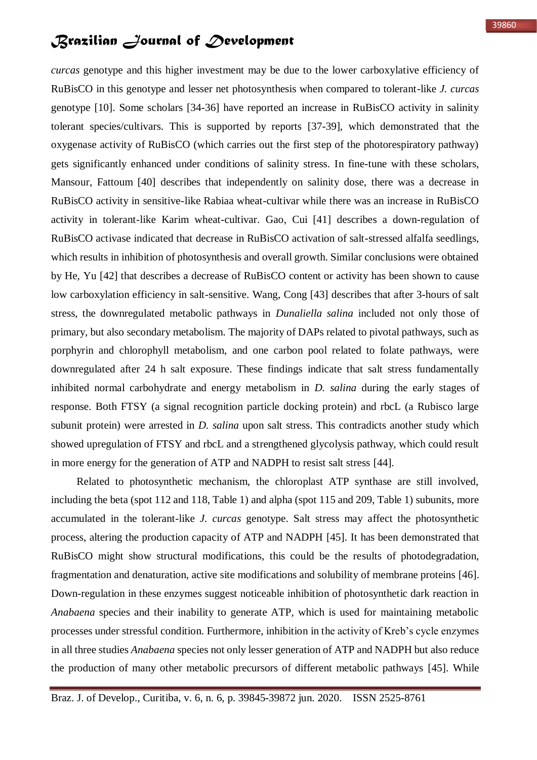*curcas* genotype and this higher investment may be due to the lower carboxylative efficiency of RuBisCO in this genotype and lesser net photosynthesis when compared to tolerant-like *J. curcas* genotype [10]. Some scholars [34-36] have reported an increase in RuBisCO activity in salinity tolerant species/cultivars. This is supported by reports [37-39], which demonstrated that the oxygenase activity of RuBisCO (which carries out the first step of the photorespiratory pathway) gets significantly enhanced under conditions of salinity stress. In fine-tune with these scholars, Mansour, Fattoum [40] describes that independently on salinity dose, there was a decrease in RuBisCO activity in sensitive-like Rabiaa wheat-cultivar while there was an increase in RuBisCO activity in tolerant-like Karim wheat-cultivar. Gao, Cui [41] describes a down-regulation of RuBisCO activase indicated that decrease in RuBisCO activation of salt-stressed alfalfa seedlings, which results in inhibition of photosynthesis and overall growth. Similar conclusions were obtained by He, Yu [42] that describes a decrease of RuBisCO content or activity has been shown to cause low carboxylation efficiency in salt-sensitive. Wang, Cong [43] describes that after 3-hours of salt stress, the downregulated metabolic pathways in *Dunaliella salina* included not only those of primary, but also secondary metabolism. The majority of DAPs related to pivotal pathways, such as porphyrin and chlorophyll metabolism, and one carbon pool related to folate pathways, were downregulated after 24 h salt exposure. These findings indicate that salt stress fundamentally inhibited normal carbohydrate and energy metabolism in *D. salina* during the early stages of response. Both FTSY (a signal recognition particle docking protein) and rbcL (a Rubisco large subunit protein) were arrested in *D. salina* upon salt stress. This contradicts another study which showed upregulation of FTSY and rbcL and a strengthened glycolysis pathway, which could result in more energy for the generation of ATP and NADPH to resist salt stress [44].

Related to photosynthetic mechanism, the chloroplast ATP synthase are still involved, including the beta (spot 112 and 118, Table 1) and alpha (spot 115 and 209, Table 1) subunits, more accumulated in the tolerant-like *J. curcas* genotype. Salt stress may affect the photosynthetic process, altering the production capacity of ATP and NADPH [45]. It has been demonstrated that RuBisCO might show structural modifications, this could be the results of photodegradation, fragmentation and denaturation, active site modifications and solubility of membrane proteins [46]. Down-regulation in these enzymes suggest noticeable inhibition of photosynthetic dark reaction in *Anabaena* species and their inability to generate ATP, which is used for maintaining metabolic processes under stressful condition. Furthermore, inhibition in the activity of Kreb's cycle enzymes in all three studies *Anabaena* species not only lesser generation of ATP and NADPH but also reduce the production of many other metabolic precursors of different metabolic pathways [45]. While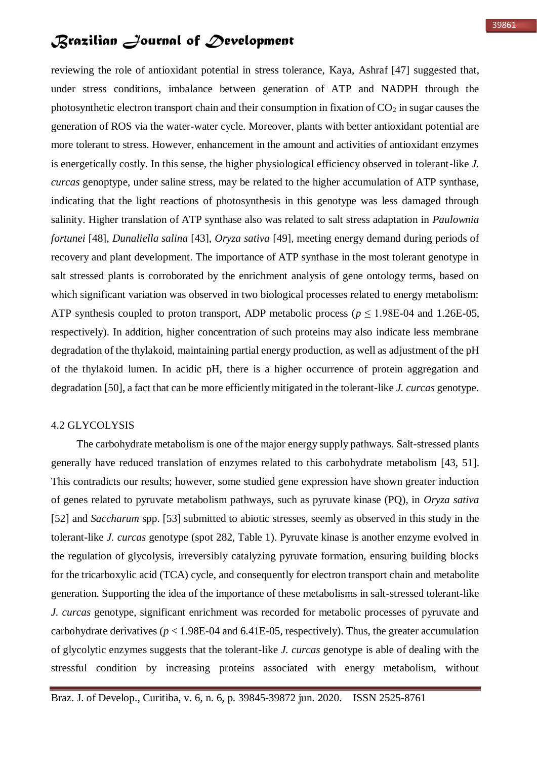reviewing the role of antioxidant potential in stress tolerance, Kaya, Ashraf [47] suggested that, under stress conditions, imbalance between generation of ATP and NADPH through the photosynthetic electron transport chain and their consumption in fixation of  $CO<sub>2</sub>$  in sugar causes the generation of ROS via the water-water cycle. Moreover, plants with better antioxidant potential are more tolerant to stress. However, enhancement in the amount and activities of antioxidant enzymes is energetically costly. In this sense, the higher physiological efficiency observed in tolerant-like *J. curcas* genoptype, under saline stress, may be related to the higher accumulation of ATP synthase, indicating that the light reactions of photosynthesis in this genotype was less damaged through salinity. Higher translation of ATP synthase also was related to salt stress adaptation in *Paulownia fortunei* [48], *Dunaliella salina* [43], *Oryza sativa* [49], meeting energy demand during periods of recovery and plant development. The importance of ATP synthase in the most tolerant genotype in salt stressed plants is corroborated by the enrichment analysis of gene ontology terms, based on which significant variation was observed in two biological processes related to energy metabolism: ATP synthesis coupled to proton transport, ADP metabolic process ( $p \le 1.98E-04$  and 1.26E-05, respectively). In addition, higher concentration of such proteins may also indicate less membrane degradation of the thylakoid, maintaining partial energy production, as well as adjustment of the pH of the thylakoid lumen. In acidic pH, there is a higher occurrence of protein aggregation and degradation [50], a fact that can be more efficiently mitigated in the tolerant-like *J. curcas* genotype.

### 4.2 GLYCOLYSIS

The carbohydrate metabolism is one of the major energy supply pathways. Salt-stressed plants generally have reduced translation of enzymes related to this carbohydrate metabolism [43, 51]. This contradicts our results; however, some studied gene expression have shown greater induction of genes related to pyruvate metabolism pathways, such as pyruvate kinase (PQ), in *Oryza sativa* [52] and *Saccharum* spp. [53] submitted to abiotic stresses, seemly as observed in this study in the tolerant-like *J. curcas* genotype (spot 282, Table 1). Pyruvate kinase is another enzyme evolved in the regulation of glycolysis, irreversibly catalyzing pyruvate formation, ensuring building blocks for the tricarboxylic acid (TCA) cycle, and consequently for electron transport chain and metabolite generation. Supporting the idea of the importance of these metabolisms in salt-stressed tolerant-like *J. curcas* genotype, significant enrichment was recorded for metabolic processes of pyruvate and carbohydrate derivatives ( $p < 1.98E-04$  and 6.41E-05, respectively). Thus, the greater accumulation of glycolytic enzymes suggests that the tolerant-like *J. curcas* genotype is able of dealing with the stressful condition by increasing proteins associated with energy metabolism, without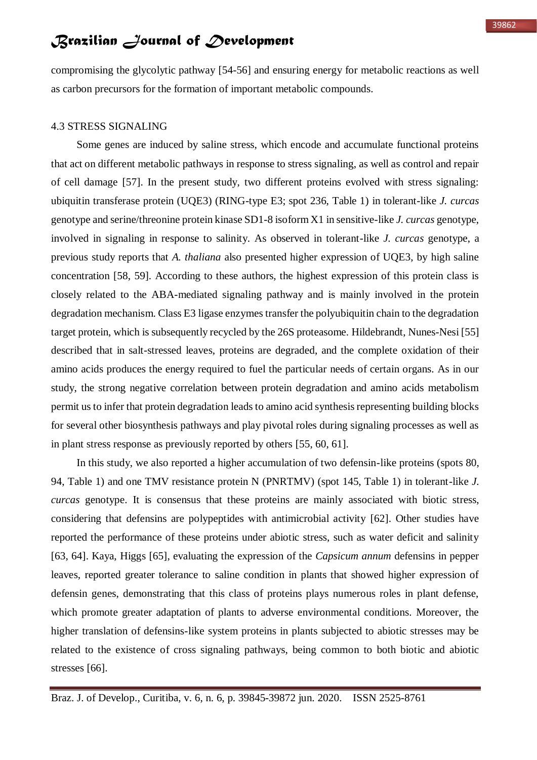compromising the glycolytic pathway [54-56] and ensuring energy for metabolic reactions as well as carbon precursors for the formation of important metabolic compounds.

#### 4.3 STRESS SIGNALING

Some genes are induced by saline stress, which encode and accumulate functional proteins that act on different metabolic pathways in response to stress signaling, as well as control and repair of cell damage [57]. In the present study, two different proteins evolved with stress signaling: ubiquitin transferase protein (UQE3) (RING-type E3; spot 236, Table 1) in tolerant-like *J. curcas* genotype and serine/threonine protein kinase SD1-8 isoform X1 in sensitive-like *J. curcas* genotype, involved in signaling in response to salinity. As observed in tolerant-like *J. curcas* genotype, a previous study reports that *A. thaliana* also presented higher expression of UQE3, by high saline concentration [58, 59]. According to these authors, the highest expression of this protein class is closely related to the ABA-mediated signaling pathway and is mainly involved in the protein degradation mechanism. Class E3 ligase enzymes transfer the polyubiquitin chain to the degradation target protein, which is subsequently recycled by the 26S proteasome. Hildebrandt, Nunes-Nesi [55] described that in salt-stressed leaves, proteins are degraded, and the complete oxidation of their amino acids produces the energy required to fuel the particular needs of certain organs. As in our study, the strong negative correlation between protein degradation and amino acids metabolism permit us to infer that protein degradation leads to amino acid synthesis representing building blocks for several other biosynthesis pathways and play pivotal roles during signaling processes as well as in plant stress response as previously reported by others [55, 60, 61].

In this study, we also reported a higher accumulation of two defensin-like proteins (spots 80, 94, Table 1) and one TMV resistance protein N (PNRTMV) (spot 145, Table 1) in tolerant-like *J. curcas* genotype. It is consensus that these proteins are mainly associated with biotic stress, considering that defensins are polypeptides with antimicrobial activity [62]. Other studies have reported the performance of these proteins under abiotic stress, such as water deficit and salinity [63, 64]. Kaya, Higgs [65], evaluating the expression of the *Capsicum annum* defensins in pepper leaves, reported greater tolerance to saline condition in plants that showed higher expression of defensin genes, demonstrating that this class of proteins plays numerous roles in plant defense, which promote greater adaptation of plants to adverse environmental conditions. Moreover, the higher translation of defensins-like system proteins in plants subjected to abiotic stresses may be related to the existence of cross signaling pathways, being common to both biotic and abiotic stresses [66].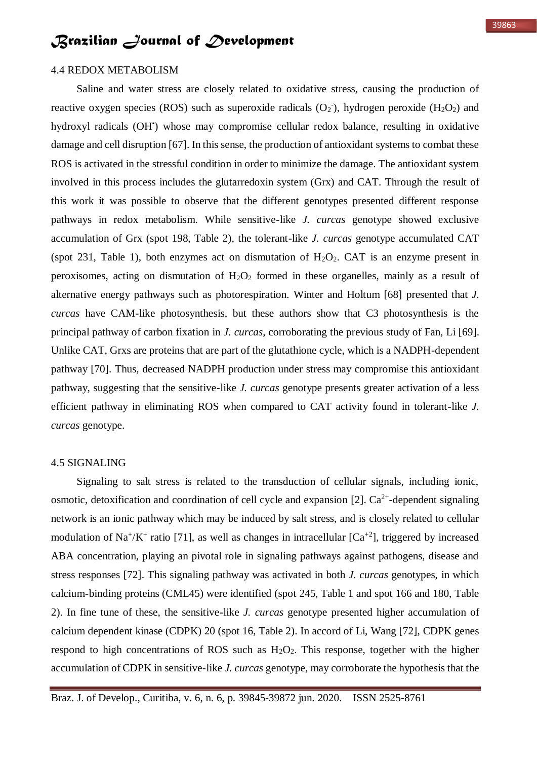### 4.4 REDOX METABOLISM

Saline and water stress are closely related to oxidative stress, causing the production of reactive oxygen species (ROS) such as superoxide radicals  $(O_2)$ , hydrogen peroxide (H<sub>2</sub>O<sub>2</sub>) and hydroxyl radicals (OH') whose may compromise cellular redox balance, resulting in oxidative damage and cell disruption [67]. In this sense, the production of antioxidant systems to combat these ROS is activated in the stressful condition in order to minimize the damage. The antioxidant system involved in this process includes the glutarredoxin system (Grx) and CAT. Through the result of this work it was possible to observe that the different genotypes presented different response pathways in redox metabolism. While sensitive-like *J. curcas* genotype showed exclusive accumulation of Grx (spot 198, Table 2), the tolerant-like *J. curcas* genotype accumulated CAT (spot 231, Table 1), both enzymes act on dismutation of  $H_2O_2$ . CAT is an enzyme present in peroxisomes, acting on dismutation of  $H_2O_2$  formed in these organelles, mainly as a result of alternative energy pathways such as photorespiration. Winter and Holtum [68] presented that *J. curcas* have CAM-like photosynthesis, but these authors show that C3 photosynthesis is the principal pathway of carbon fixation in *J. curcas*, corroborating the previous study of Fan, Li [69]. Unlike CAT, Grxs are proteins that are part of the glutathione cycle, which is a NADPH-dependent pathway [70]. Thus, decreased NADPH production under stress may compromise this antioxidant pathway, suggesting that the sensitive-like *J. curcas* genotype presents greater activation of a less efficient pathway in eliminating ROS when compared to CAT activity found in tolerant-like *J. curcas* genotype.

#### 4.5 SIGNALING

Signaling to salt stress is related to the transduction of cellular signals, including ionic, osmotic, detoxification and coordination of cell cycle and expansion [2].  $Ca^{2+}$ -dependent signaling network is an ionic pathway which may be induced by salt stress, and is closely related to cellular modulation of Na<sup>+</sup>/K<sup>+</sup> ratio [71], as well as changes in intracellular [ $Ca^{+2}$ ], triggered by increased ABA concentration, playing an pivotal role in signaling pathways against pathogens, disease and stress responses [72]. This signaling pathway was activated in both *J. curcas* genotypes, in which calcium-binding proteins (CML45) were identified (spot 245, Table 1 and spot 166 and 180, Table 2). In fine tune of these, the sensitive-like *J. curcas* genotype presented higher accumulation of calcium dependent kinase (CDPK) 20 (spot 16, Table 2). In accord of Li, Wang [72], CDPK genes respond to high concentrations of ROS such as  $H_2O_2$ . This response, together with the higher accumulation of CDPK in sensitive-like *J. curcas* genotype, may corroborate the hypothesis that the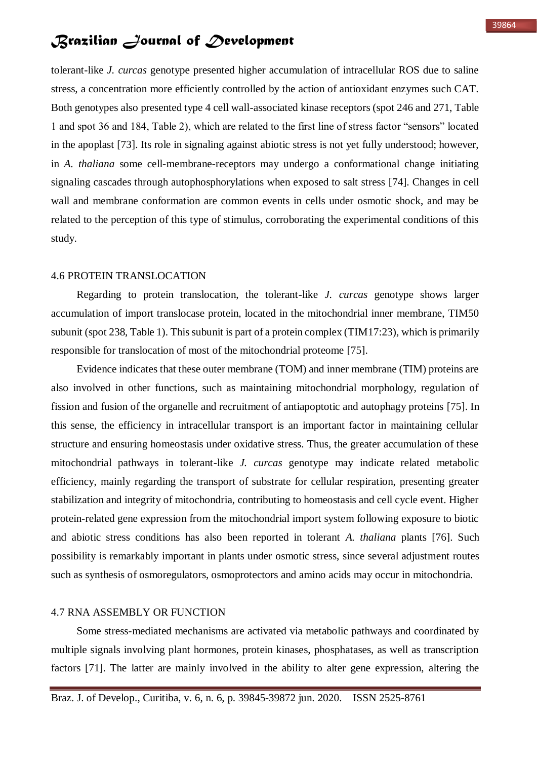tolerant-like *J. curcas* genotype presented higher accumulation of intracellular ROS due to saline stress, a concentration more efficiently controlled by the action of antioxidant enzymes such CAT. Both genotypes also presented type 4 cell wall-associated kinase receptors (spot 246 and 271, Table 1 and spot 36 and 184, Table 2), which are related to the first line of stress factor "sensors" located in the apoplast [73]. Its role in signaling against abiotic stress is not yet fully understood; however, in *A. thaliana* some cell-membrane-receptors may undergo a conformational change initiating signaling cascades through autophosphorylations when exposed to salt stress [74]. Changes in cell wall and membrane conformation are common events in cells under osmotic shock, and may be related to the perception of this type of stimulus, corroborating the experimental conditions of this study.

#### 4.6 PROTEIN TRANSLOCATION

Regarding to protein translocation, the tolerant-like *J. curcas* genotype shows larger accumulation of import translocase protein, located in the mitochondrial inner membrane, TIM50 subunit (spot 238, Table 1). This subunit is part of a protein complex (TIM17:23), which is primarily responsible for translocation of most of the mitochondrial proteome [75].

Evidence indicates that these outer membrane (TOM) and inner membrane (TIM) proteins are also involved in other functions, such as maintaining mitochondrial morphology, regulation of fission and fusion of the organelle and recruitment of antiapoptotic and autophagy proteins [75]. In this sense, the efficiency in intracellular transport is an important factor in maintaining cellular structure and ensuring homeostasis under oxidative stress. Thus, the greater accumulation of these mitochondrial pathways in tolerant-like *J. curcas* genotype may indicate related metabolic efficiency, mainly regarding the transport of substrate for cellular respiration, presenting greater stabilization and integrity of mitochondria, contributing to homeostasis and cell cycle event. Higher protein-related gene expression from the mitochondrial import system following exposure to biotic and abiotic stress conditions has also been reported in tolerant *A. thaliana* plants [76]. Such possibility is remarkably important in plants under osmotic stress, since several adjustment routes such as synthesis of osmoregulators, osmoprotectors and amino acids may occur in mitochondria.

#### 4.7 RNA ASSEMBLY OR FUNCTION

Some stress-mediated mechanisms are activated via metabolic pathways and coordinated by multiple signals involving plant hormones, protein kinases, phosphatases, as well as transcription factors [71]. The latter are mainly involved in the ability to alter gene expression, altering the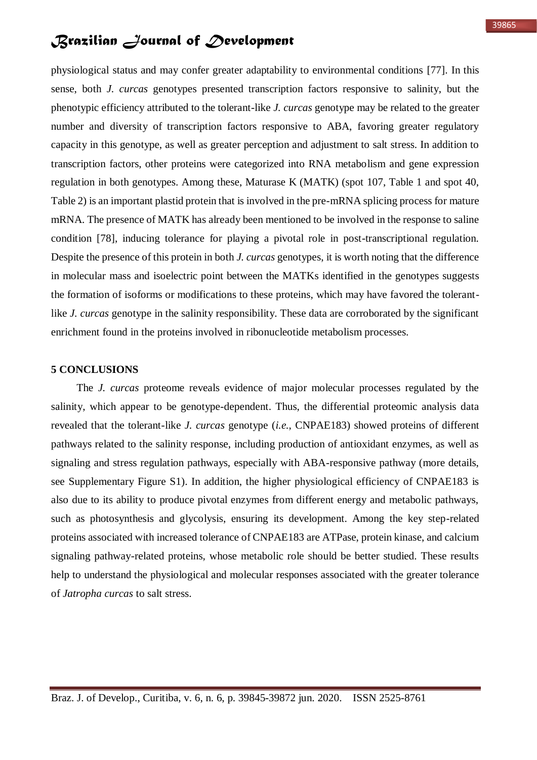physiological status and may confer greater adaptability to environmental conditions [77]. In this sense, both *J. curcas* genotypes presented transcription factors responsive to salinity, but the phenotypic efficiency attributed to the tolerant-like *J. curcas* genotype may be related to the greater number and diversity of transcription factors responsive to ABA, favoring greater regulatory capacity in this genotype, as well as greater perception and adjustment to salt stress. In addition to transcription factors, other proteins were categorized into RNA metabolism and gene expression regulation in both genotypes. Among these, Maturase K (MATK) (spot 107, Table 1 and spot 40, Table 2) is an important plastid protein that is involved in the pre-mRNA splicing process for mature mRNA. The presence of MATK has already been mentioned to be involved in the response to saline condition [78], inducing tolerance for playing a pivotal role in post-transcriptional regulation. Despite the presence of this protein in both *J. curcas* genotypes, it is worth noting that the difference in molecular mass and isoelectric point between the MATKs identified in the genotypes suggests the formation of isoforms or modifications to these proteins, which may have favored the tolerantlike *J. curcas* genotype in the salinity responsibility. These data are corroborated by the significant enrichment found in the proteins involved in ribonucleotide metabolism processes.

### **5 CONCLUSIONS**

The *J. curcas* proteome reveals evidence of major molecular processes regulated by the salinity, which appear to be genotype-dependent. Thus, the differential proteomic analysis data revealed that the tolerant-like *J. curcas* genotype (*i.e.*, CNPAE183) showed proteins of different pathways related to the salinity response, including production of antioxidant enzymes, as well as signaling and stress regulation pathways, especially with ABA-responsive pathway (more details, see Supplementary Figure S1). In addition, the higher physiological efficiency of CNPAE183 is also due to its ability to produce pivotal enzymes from different energy and metabolic pathways, such as photosynthesis and glycolysis, ensuring its development. Among the key step-related proteins associated with increased tolerance of CNPAE183 are ATPase, protein kinase, and calcium signaling pathway-related proteins, whose metabolic role should be better studied. These results help to understand the physiological and molecular responses associated with the greater tolerance of *Jatropha curcas* to salt stress.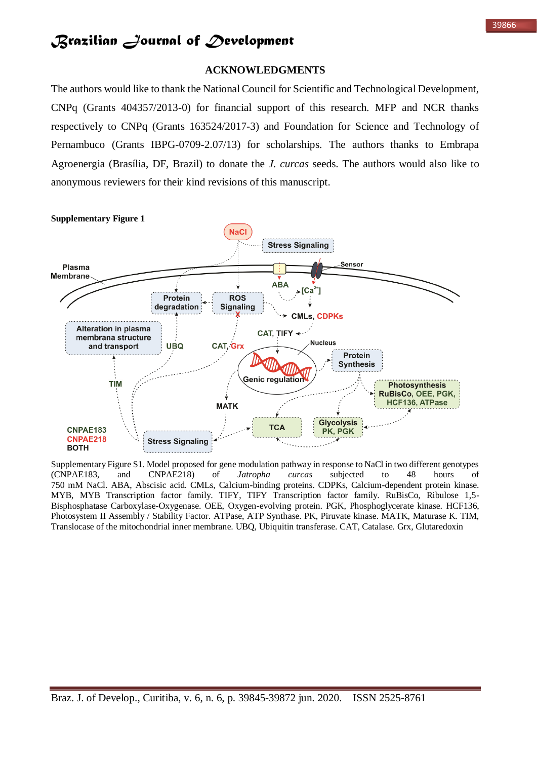### **ACKNOWLEDGMENTS**

The authors would like to thank the National Council for Scientific and Technological Development, CNPq (Grants 404357/2013-0) for financial support of this research. MFP and NCR thanks respectively to CNPq (Grants 163524/2017-3) and Foundation for Science and Technology of Pernambuco (Grants IBPG-0709-2.07/13) for scholarships. The authors thanks to Embrapa Agroenergia (Brasília, DF, Brazil) to donate the *J. curcas* seeds. The authors would also like to anonymous reviewers for their kind revisions of this manuscript.



Supplementary Figure S1. Model proposed for gene modulation pathway in response to NaCl in two different genotypes (CNPAE183, and CNPAE218) of *Jatropha curcas* subjected to 48 hours of 750 mM NaCl. ABA, Abscisic acid. CMLs, Calcium-binding proteins. CDPKs, Calcium-dependent protein kinase. MYB, MYB Transcription factor family. TIFY, TIFY Transcription factor family. RuBisCo, Ribulose 1,5- Bisphosphatase Carboxylase-Oxygenase. OEE, Oxygen-evolving protein. PGK, Phosphoglycerate kinase. HCF136, Photosystem II Assembly / Stability Factor. ATPase, ATP Synthase. PK, Piruvate kinase. MATK, Maturase K. TIM, Translocase of the mitochondrial inner membrane. UBQ, Ubiquitin transferase. CAT, Catalase. Grx, Glutaredoxin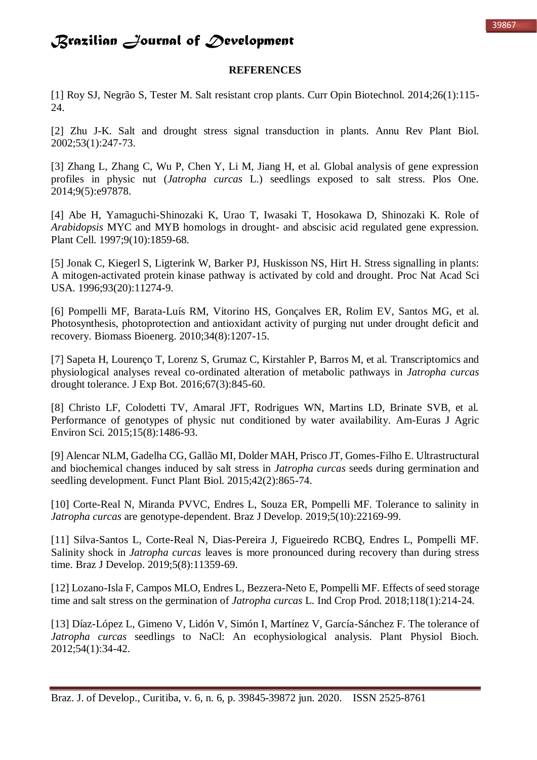### **REFERENCES**

[1] Roy SJ, Negrão S, Tester M. Salt resistant crop plants. Curr Opin Biotechnol. 2014;26(1):115- 24.

[2] Zhu J-K. Salt and drought stress signal transduction in plants. Annu Rev Plant Biol. 2002;53(1):247-73.

[3] Zhang L, Zhang C, Wu P, Chen Y, Li M, Jiang H, et al. Global analysis of gene expression profiles in physic nut (*Jatropha curcas* L.) seedlings exposed to salt stress. Plos One. 2014;9(5):e97878.

[4] Abe H, Yamaguchi-Shinozaki K, Urao T, Iwasaki T, Hosokawa D, Shinozaki K. Role of *Arabidopsis* MYC and MYB homologs in drought- and abscisic acid regulated gene expression. Plant Cell. 1997;9(10):1859-68.

[5] Jonak C, Kiegerl S, Ligterink W, Barker PJ, Huskisson NS, Hirt H. Stress signalling in plants: A mitogen-activated protein kinase pathway is activated by cold and drought. Proc Nat Acad Sci USA. 1996;93(20):11274-9.

[6] Pompelli MF, Barata-Luís RM, Vitorino HS, Gonçalves ER, Rolim EV, Santos MG, et al. Photosynthesis, photoprotection and antioxidant activity of purging nut under drought deficit and recovery. Biomass Bioenerg. 2010;34(8):1207-15.

[7] Sapeta H, Lourenço T, Lorenz S, Grumaz C, Kirstahler P, Barros M, et al. Transcriptomics and physiological analyses reveal co-ordinated alteration of metabolic pathways in *Jatropha curcas*  drought tolerance. J Exp Bot. 2016;67(3):845-60.

[8] Christo LF, Colodetti TV, Amaral JFT, Rodrigues WN, Martins LD, Brinate SVB, et al. Performance of genotypes of physic nut conditioned by water availability. Am-Euras J Agric Environ Sci. 2015;15(8):1486-93.

[9] Alencar NLM, Gadelha CG, Gallão MI, Dolder MAH, Prisco JT, Gomes-Filho E. Ultrastructural and biochemical changes induced by salt stress in *Jatropha curcas* seeds during germination and seedling development. Funct Plant Biol. 2015;42(2):865-74.

[10] Corte-Real N, Miranda PVVC, Endres L, Souza ER, Pompelli MF. Tolerance to salinity in *Jatropha curcas* are genotype-dependent. Braz J Develop. 2019;5(10):22169-99.

[11] Silva-Santos L, Corte-Real N, Dias-Pereira J, Figueiredo RCBQ, Endres L, Pompelli MF. Salinity shock in *Jatropha curcas* leaves is more pronounced during recovery than during stress time. Braz J Develop. 2019;5(8):11359-69.

[12] Lozano-Isla F, Campos MLO, Endres L, Bezzera-Neto E, Pompelli MF. Effects of seed storage time and salt stress on the germination of *Jatropha curcas* L. Ind Crop Prod. 2018;118(1):214-24.

[13] Díaz-López L, Gimeno V, Lidón V, Simón I, Martínez V, García-Sánchez F. The tolerance of *Jatropha curcas* seedlings to NaCl: An ecophysiological analysis. Plant Physiol Bioch. 2012;54(1):34-42.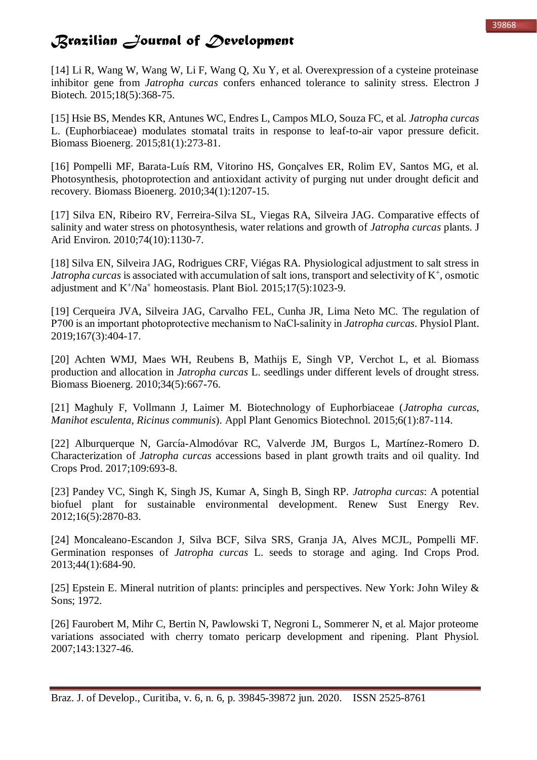[14] Li R, Wang W, Wang W, Li F, Wang Q, Xu Y, et al. Overexpression of a cysteine proteinase inhibitor gene from *Jatropha curcas* confers enhanced tolerance to salinity stress. Electron J Biotech. 2015;18(5):368-75.

[15] Hsie BS, Mendes KR, Antunes WC, Endres L, Campos MLO, Souza FC, et al. *Jatropha curcas*  L. (Euphorbiaceae) modulates stomatal traits in response to leaf-to-air vapor pressure deficit. Biomass Bioenerg. 2015;81(1):273-81.

[16] Pompelli MF, Barata-Luís RM, Vitorino HS, Gonçalves ER, Rolim EV, Santos MG, et al. Photosynthesis, photoprotection and antioxidant activity of purging nut under drought deficit and recovery. Biomass Bioenerg. 2010;34(1):1207-15.

[17] Silva EN, Ribeiro RV, Ferreira-Silva SL, Viegas RA, Silveira JAG. Comparative effects of salinity and water stress on photosynthesis, water relations and growth of *Jatropha curcas* plants. J Arid Environ. 2010;74(10):1130-7.

[18] Silva EN, Silveira JAG, Rodrigues CRF, Viégas RA. Physiological adjustment to salt stress in *Jatropha curcas* is associated with accumulation of salt ions, transport and selectivity of  $K^+$ , osmotic adjustment and K<sup>+</sup>/Na<sup>+</sup> homeostasis. Plant Biol. 2015;17(5):1023-9.

[19] Cerqueira JVA, Silveira JAG, Carvalho FEL, Cunha JR, Lima Neto MC. The regulation of P700 is an important photoprotective mechanism to NaCl‐salinity in *Jatropha curcas*. Physiol Plant. 2019;167(3):404-17.

[20] Achten WMJ, Maes WH, Reubens B, Mathijs E, Singh VP, Verchot L, et al. Biomass production and allocation in *Jatropha curcas* L. seedlings under different levels of drought stress. Biomass Bioenerg. 2010;34(5):667-76.

[21] Maghuly F, Vollmann J, Laimer M. Biotechnology of Euphorbiaceae (*Jatropha curcas*, *Manihot esculenta*, *Ricinus communis*). Appl Plant Genomics Biotechnol. 2015;6(1):87-114.

[22] Alburquerque N, García-Almodóvar RC, Valverde JM, Burgos L, Martínez-Romero D. Characterization of *Jatropha curcas* accessions based in plant growth traits and oil quality. Ind Crops Prod. 2017;109:693-8.

[23] Pandey VC, Singh K, Singh JS, Kumar A, Singh B, Singh RP. *Jatropha curcas*: A potential biofuel plant for sustainable environmental development. Renew Sust Energy Rev. 2012;16(5):2870-83.

[24] Moncaleano-Escandon J, Silva BCF, Silva SRS, Granja JA, Alves MCJL, Pompelli MF. Germination responses of *Jatropha curcas* L. seeds to storage and aging. Ind Crops Prod. 2013;44(1):684-90.

[25] Epstein E. Mineral nutrition of plants: principles and perspectives. New York: John Wiley & Sons; 1972.

[26] Faurobert M, Mihr C, Bertin N, Pawlowski T, Negroni L, Sommerer N, et al. Major proteome variations associated with cherry tomato pericarp development and ripening. Plant Physiol. 2007;143:1327-46.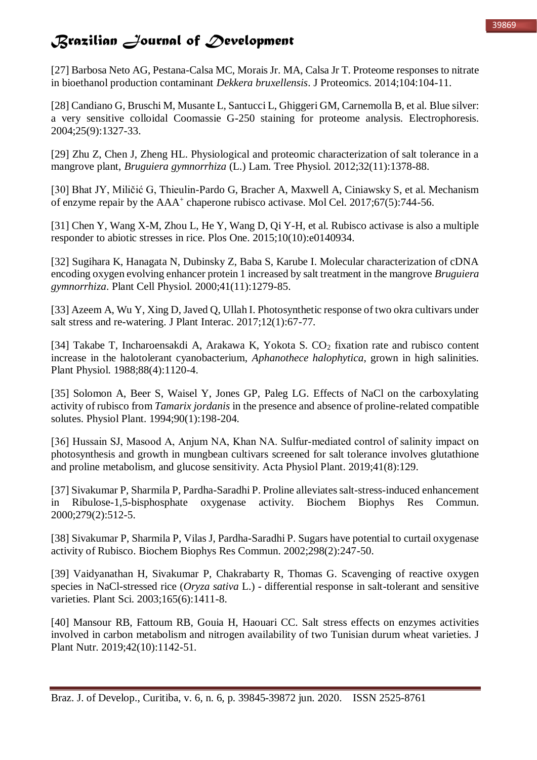[27] Barbosa Neto AG, Pestana-Calsa MC, Morais Jr. MA, Calsa Jr T. Proteome responses to nitrate in bioethanol production contaminant *Dekkera bruxellensis*. J Proteomics. 2014;104:104-11.

[28] Candiano G, Bruschi M, Musante L, Santucci L, Ghiggeri GM, Carnemolla B, et al. Blue silver: a very sensitive colloidal Coomassie G-250 staining for proteome analysis. Electrophoresis. 2004;25(9):1327-33.

[29] Zhu Z, Chen J, Zheng HL. Physiological and proteomic characterization of salt tolerance in a mangrove plant, *Bruguiera gymnorrhiza* (L.) Lam. Tree Physiol. 2012;32(11):1378-88.

[30] Bhat JY, Miličić G, Thieulin-Pardo G, Bracher A, Maxwell A, Ciniawsky S, et al. Mechanism of enzyme repair by the AAA<sup>+</sup> chaperone rubisco activase. Mol Cel. 2017;67(5):744-56.

[31] Chen Y, Wang X-M, Zhou L, He Y, Wang D, Qi Y-H, et al. Rubisco activase is also a multiple responder to abiotic stresses in rice. Plos One. 2015;10(10):e0140934.

[32] Sugihara K, Hanagata N, Dubinsky Z, Baba S, Karube I. Molecular characterization of cDNA encoding oxygen evolving enhancer protein 1 increased by salt treatment in the mangrove *Bruguiera gymnorrhiza*. Plant Cell Physiol. 2000;41(11):1279-85.

[33] Azeem A, Wu Y, Xing D, Javed Q, Ullah I. Photosynthetic response of two okra cultivars under salt stress and re-watering. J Plant Interac. 2017;12(1):67-77.

[34] Takabe T, Incharoensakdi A, Arakawa K, Yokota S. CO<sub>2</sub> fixation rate and rubisco content increase in the halotolerant cyanobacterium, *Aphanothece halophytica*, grown in high salinities. Plant Physiol. 1988;88(4):1120-4.

[35] Solomon A, Beer S, Waisel Y, Jones GP, Paleg LG. Effects of NaCl on the carboxylating activity of rubisco from *Tamarix jordanis* in the presence and absence of proline-related compatible solutes. Physiol Plant. 1994;90(1):198-204.

[36] Hussain SJ, Masood A, Anjum NA, Khan NA. Sulfur-mediated control of salinity impact on photosynthesis and growth in mungbean cultivars screened for salt tolerance involves glutathione and proline metabolism, and glucose sensitivity. Acta Physiol Plant. 2019;41(8):129.

[37] Sivakumar P, Sharmila P, Pardha-Saradhi P. Proline alleviates salt-stress-induced enhancement in Ribulose-1,5-bisphosphate oxygenase activity. Biochem Biophys Res Commun. 2000;279(2):512-5.

[38] Sivakumar P, Sharmila P, Vilas J, Pardha-Saradhi P. Sugars have potential to curtail oxygenase activity of Rubisco. Biochem Biophys Res Commun. 2002;298(2):247-50.

[39] Vaidyanathan H, Sivakumar P, Chakrabarty R, Thomas G. Scavenging of reactive oxygen species in NaCl-stressed rice (*Oryza sativa* L.) - differential response in salt-tolerant and sensitive varieties. Plant Sci. 2003;165(6):1411-8.

[40] Mansour RB, Fattoum RB, Gouia H, Haouari CC. Salt stress effects on enzymes activities involved in carbon metabolism and nitrogen availability of two Tunisian durum wheat varieties. J Plant Nutr. 2019;42(10):1142-51.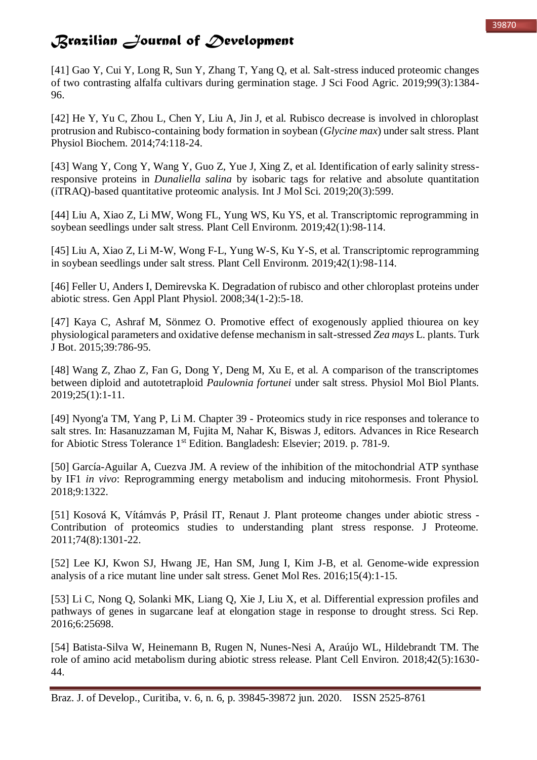[41] Gao Y, Cui Y, Long R, Sun Y, Zhang T, Yang Q, et al. Salt-stress induced proteomic changes of two contrasting alfalfa cultivars during germination stage. J Sci Food Agric. 2019;99(3):1384- 96.

[42] He Y, Yu C, Zhou L, Chen Y, Liu A, Jin J, et al. Rubisco decrease is involved in chloroplast protrusion and Rubisco-containing body formation in soybean (*Glycine max*) under salt stress. Plant Physiol Biochem. 2014;74:118-24.

[43] Wang Y, Cong Y, Wang Y, Guo Z, Yue J, Xing Z, et al. Identification of early salinity stressresponsive proteins in *Dunaliella salina* by isobaric tags for relative and absolute quantitation (iTRAQ)-based quantitative proteomic analysis. Int J Mol Sci. 2019;20(3):599.

[44] Liu A, Xiao Z, Li MW, Wong FL, Yung WS, Ku YS, et al. Transcriptomic reprogramming in soybean seedlings under salt stress. Plant Cell Environm. 2019;42(1):98-114.

[45] Liu A, Xiao Z, Li M-W, Wong F-L, Yung W-S, Ku Y-S, et al. Transcriptomic reprogramming in soybean seedlings under salt stress. Plant Cell Environm. 2019;42(1):98-114.

[46] Feller U, Anders I, Demirevska K. Degradation of rubisco and other chloroplast proteins under abiotic stress. Gen Appl Plant Physiol. 2008;34(1-2):5-18.

[47] Kaya C, Ashraf M, Sönmez O. Promotive effect of exogenously applied thiourea on key physiological parameters and oxidative defense mechanism in salt-stressed *Zea mays* L. plants. Turk J Bot. 2015;39:786-95.

[48] Wang Z, Zhao Z, Fan G, Dong Y, Deng M, Xu E, et al. A comparison of the transcriptomes between diploid and autotetraploid *Paulownia fortunei* under salt stress. Physiol Mol Biol Plants. 2019;25(1):1-11.

[49] Nyong'a TM, Yang P, Li M. Chapter 39 - Proteomics study in rice responses and tolerance to salt stres. In: Hasanuzzaman M, Fujita M, Nahar K, Biswas J, editors. Advances in Rice Research for Abiotic Stress Tolerance 1st Edition. Bangladesh: Elsevier; 2019. p. 781-9.

[50] García-Aguilar A, Cuezva JM. A review of the inhibition of the mitochondrial ATP synthase by IF1 *in vivo*: Reprogramming energy metabolism and inducing mitohormesis. Front Physiol. 2018;9:1322.

[51] Kosová K, Vítámvás P, Prásil IT, Renaut J. Plant proteome changes under abiotic stress - Contribution of proteomics studies to understanding plant stress response. J Proteome. 2011;74(8):1301-22.

[52] Lee KJ, Kwon SJ, Hwang JE, Han SM, Jung I, Kim J-B, et al. Genome-wide expression analysis of a rice mutant line under salt stress. Genet Mol Res. 2016;15(4):1-15.

[53] Li C, Nong Q, Solanki MK, Liang Q, Xie J, Liu X, et al. Differential expression profiles and pathways of genes in sugarcane leaf at elongation stage in response to drought stress. Sci Rep. 2016;6:25698.

[54] Batista-Silva W, Heinemann B, Rugen N, Nunes-Nesi A, Araújo WL, Hildebrandt TM. The role of amino acid metabolism during abiotic stress release. Plant Cell Environ. 2018;42(5):1630- 44.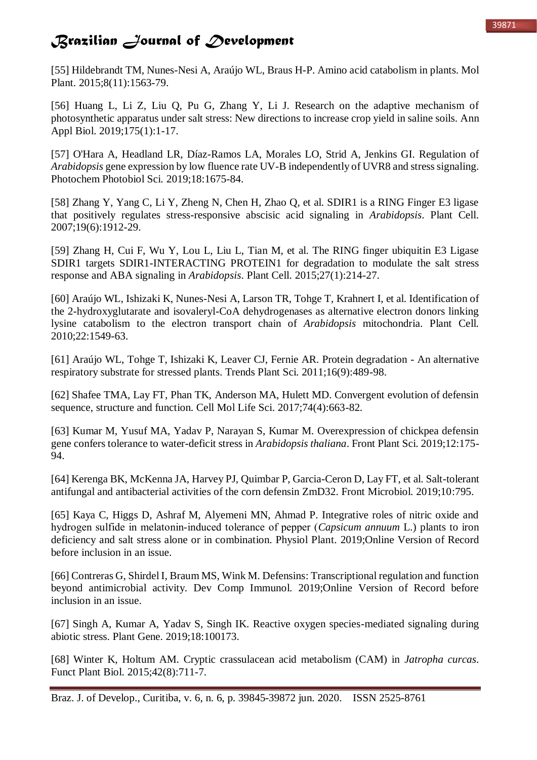#### 39871

## *Brazilian Journal of Development*

[55] Hildebrandt TM, Nunes-Nesi A, Araújo WL, Braus H-P. Amino acid catabolism in plants. Mol Plant. 2015;8(11):1563-79.

[56] Huang L, Li Z, Liu Q, Pu G, Zhang Y, Li J. Research on the adaptive mechanism of photosynthetic apparatus under salt stress: New directions to increase crop yield in saline soils. Ann Appl Biol. 2019;175(1):1-17.

[57] O'Hara A, Headland LR, Díaz-Ramos LA, Morales LO, Strid A, Jenkins GI. Regulation of *Arabidopsis* gene expression by low fluence rate UV-B independently of UVR8 and stress signaling. Photochem Photobiol Sci. 2019;18:1675-84.

[58] Zhang Y, Yang C, Li Y, Zheng N, Chen H, Zhao Q, et al. SDIR1 is a RING Finger E3 ligase that positively regulates stress-responsive abscisic acid signaling in *Arabidopsis*. Plant Cell. 2007;19(6):1912-29.

[59] Zhang H, Cui F, Wu Y, Lou L, Liu L, Tian M, et al. The RING finger ubiquitin E3 Ligase SDIR1 targets SDIR1-INTERACTING PROTEIN1 for degradation to modulate the salt stress response and ABA signaling in *Arabidopsis*. Plant Cell. 2015;27(1):214-27.

[60] Araújo WL, Ishizaki K, Nunes-Nesi A, Larson TR, Tohge T, Krahnert I, et al. Identification of the 2-hydroxyglutarate and isovaleryl-CoA dehydrogenases as alternative electron donors linking lysine catabolism to the electron transport chain of *Arabidopsis* mitochondria. Plant Cell. 2010;22:1549-63.

[61] Araújo WL, Tohge T, Ishizaki K, Leaver CJ, Fernie AR. Protein degradation - An alternative respiratory substrate for stressed plants. Trends Plant Sci. 2011;16(9):489-98.

[62] Shafee TMA, Lay FT, Phan TK, Anderson MA, Hulett MD. Convergent evolution of defensin sequence, structure and function. Cell Mol Life Sci. 2017;74(4):663-82.

[63] Kumar M, Yusuf MA, Yadav P, Narayan S, Kumar M. Overexpression of chickpea defensin gene confers tolerance to water-deficit stress in *Arabidopsis thaliana*. Front Plant Sci. 2019;12:175- 94.

[64] Kerenga BK, McKenna JA, Harvey PJ, Quimbar P, Garcia-Ceron D, Lay FT, et al. Salt-tolerant antifungal and antibacterial activities of the corn defensin ZmD32. Front Microbiol. 2019;10:795.

[65] Kaya C, Higgs D, Ashraf M, Alyemeni MN, Ahmad P. Integrative roles of nitric oxide and hydrogen sulfide in melatonin‐induced tolerance of pepper (*Capsicum annuum* L.) plants to iron deficiency and salt stress alone or in combination. Physiol Plant. 2019;Online Version of Record before inclusion in an issue.

[66] Contreras G, Shirdel I, Braum MS, Wink M. Defensins: Transcriptional regulation and function beyond antimicrobial activity. Dev Comp Immunol. 2019;Online Version of Record before inclusion in an issue.

[67] Singh A, Kumar A, Yadav S, Singh IK. Reactive oxygen species-mediated signaling during abiotic stress. Plant Gene. 2019;18:100173.

[68] Winter K, Holtum AM. Cryptic crassulacean acid metabolism (CAM) in *Jatropha curcas*. Funct Plant Biol. 2015;42(8):711-7.